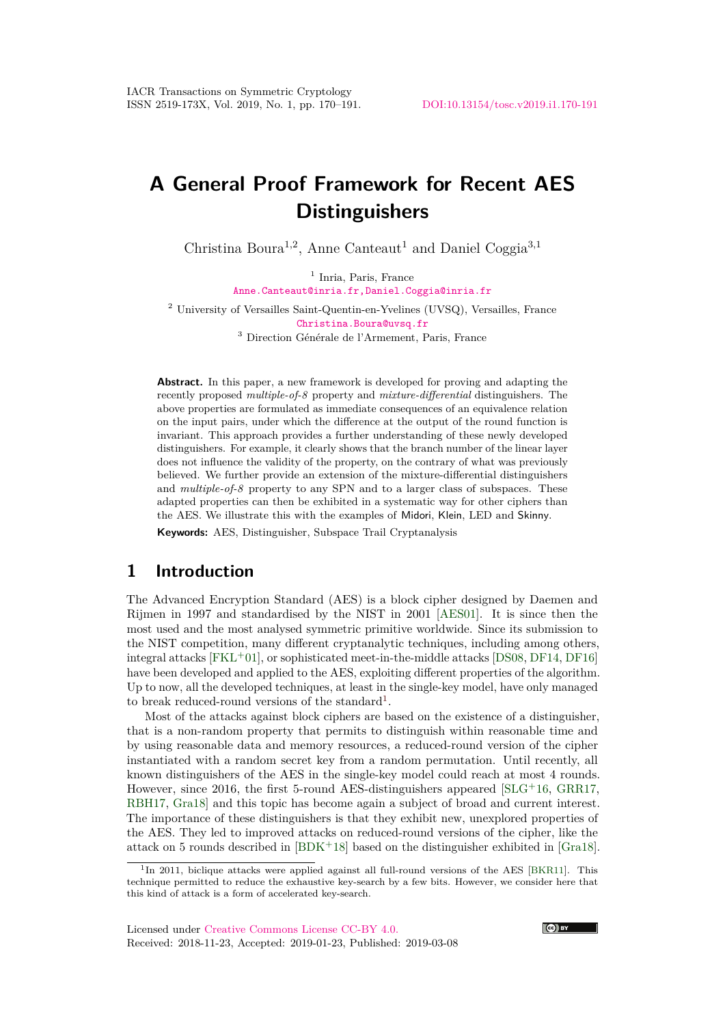# **A General Proof Framework for Recent AES Distinguishers**

Christina Boura<sup>1,2</sup>, Anne Canteaut<sup>1</sup> and Daniel Coggia<sup>3,1</sup>

<sup>1</sup> Inria, Paris, France [Anne.Canteaut@inria.fr,Daniel.Coggia@inria.fr](mailto:Anne.Canteaut@inria.fr, Daniel.Coggia@inria.fr)

<sup>2</sup> University of Versailles Saint-Quentin-en-Yvelines (UVSQ), Versailles, France [Christina.Boura@uvsq.fr](mailto:Christina.Boura@uvsq.fr)

<sup>3</sup> Direction Générale de l'Armement, Paris, France

**Abstract.** In this paper, a new framework is developed for proving and adapting the recently proposed *multiple-of-8* property and *mixture-differential* distinguishers. The above properties are formulated as immediate consequences of an equivalence relation on the input pairs, under which the difference at the output of the round function is invariant. This approach provides a further understanding of these newly developed distinguishers. For example, it clearly shows that the branch number of the linear layer does not influence the validity of the property, on the contrary of what was previously believed. We further provide an extension of the mixture-differential distinguishers and *multiple-of-8* property to any SPN and to a larger class of subspaces. These adapted properties can then be exhibited in a systematic way for other ciphers than the AES. We illustrate this with the examples of Midori, Klein, LED and Skinny.

**Keywords:** AES, Distinguisher, Subspace Trail Cryptanalysis

### **1 Introduction**

The Advanced Encryption Standard (AES) is a block cipher designed by Daemen and Rijmen in 1997 and standardised by the NIST in 2001 [\[AES01\]](#page-19-0). It is since then the most used and the most analysed symmetric primitive worldwide. Since its submission to the NIST competition, many different cryptanalytic techniques, including among others, integral attacks  $[FKL+01]$  $[FKL+01]$ , or sophisticated meet-in-the-middle attacks  $[DS08, DF14, DF16]$  $[DS08, DF14, DF16]$  $[DS08, DF14, DF16]$  $[DS08, DF14, DF16]$  $[DS08, DF14, DF16]$ have been developed and applied to the AES, exploiting different properties of the algorithm. Up to now, all the developed techniques, at least in the single-key model, have only managed to break reduced-round versions of the standard<sup>[1](#page-0-0)</sup>.

Most of the attacks against block ciphers are based on the existence of a distinguisher, that is a non-random property that permits to distinguish within reasonable time and by using reasonable data and memory resources, a reduced-round version of the cipher instantiated with a random secret key from a random permutation. Until recently, all known distinguishers of the AES in the single-key model could reach at most 4 rounds. However, since 2016, the first 5-round AES-distinguishers appeared  $SLG+16$ , [GRR17,](#page-20-3) [RBH17,](#page-20-4) [Gra18\]](#page-20-5) and this topic has become again a subject of broad and current interest. The importance of these distinguishers is that they exhibit new, unexplored properties of the AES. They led to improved attacks on reduced-round versions of the cipher, like the attack on 5 rounds described in [\[BDK](#page-19-2)<sup>+</sup>18] based on the distinguisher exhibited in [\[Gra18\]](#page-20-5).



<span id="page-0-0"></span><sup>&</sup>lt;sup>1</sup>In 2011, biclique attacks were applied against all full-round versions of the AES [\[BKR11\]](#page-19-3). This technique permitted to reduce the exhaustive key-search by a few bits. However, we consider here that this kind of attack is a form of accelerated key-search.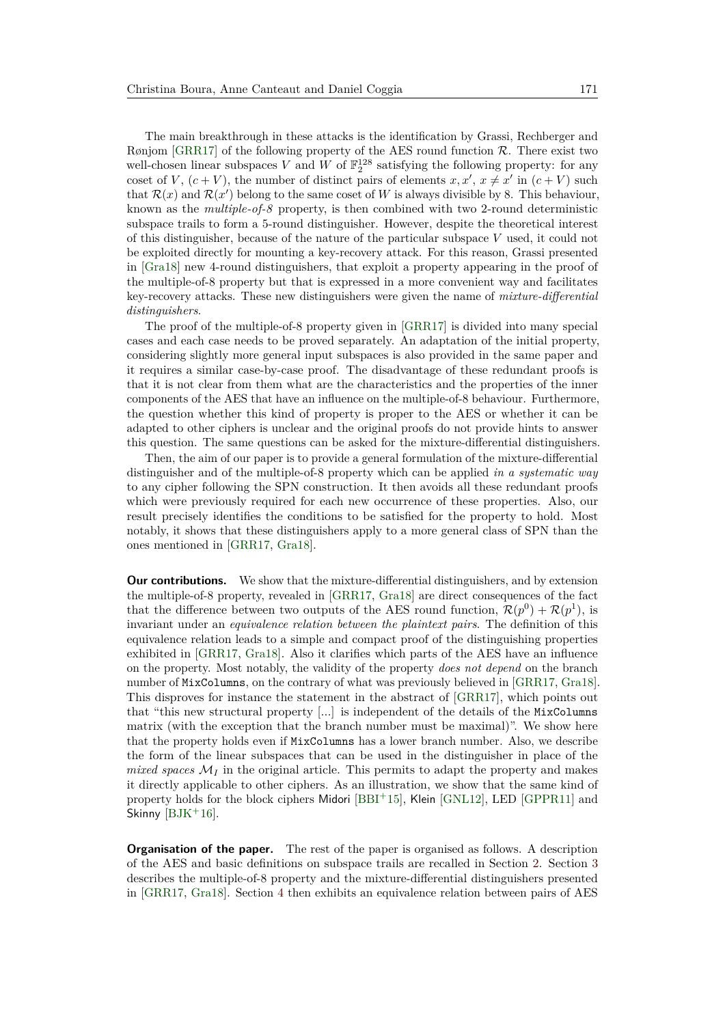The main breakthrough in these attacks is the identification by Grassi, Rechberger and Rønjom [\[GRR17\]](#page-20-3) of the following property of the AES round function  $\mathcal{R}$ . There exist two well-chosen linear subspaces *V* and *W* of  $\mathbb{F}_2^{128}$  satisfying the following property: for any coset of *V*,  $(c + V)$ , the number of distinct pairs of elements  $x, x', x \neq x'$  in  $(c + V)$  such that  $\mathcal{R}(x)$  and  $\mathcal{R}(x')$  belong to the same coset of *W* is always divisible by 8. This behaviour, known as the *multiple-of-8* property, is then combined with two 2-round deterministic subspace trails to form a 5-round distinguisher. However, despite the theoretical interest of this distinguisher, because of the nature of the particular subspace *V* used, it could not be exploited directly for mounting a key-recovery attack. For this reason, Grassi presented in [\[Gra18\]](#page-20-5) new 4-round distinguishers, that exploit a property appearing in the proof of the multiple-of-8 property but that is expressed in a more convenient way and facilitates key-recovery attacks. These new distinguishers were given the name of *mixture-differential distinguishers*.

The proof of the multiple-of-8 property given in [\[GRR17\]](#page-20-3) is divided into many special cases and each case needs to be proved separately. An adaptation of the initial property, considering slightly more general input subspaces is also provided in the same paper and it requires a similar case-by-case proof. The disadvantage of these redundant proofs is that it is not clear from them what are the characteristics and the properties of the inner components of the AES that have an influence on the multiple-of-8 behaviour. Furthermore, the question whether this kind of property is proper to the AES or whether it can be adapted to other ciphers is unclear and the original proofs do not provide hints to answer this question. The same questions can be asked for the mixture-differential distinguishers.

Then, the aim of our paper is to provide a general formulation of the mixture-differential distinguisher and of the multiple-of-8 property which can be applied *in a systematic way* to any cipher following the SPN construction. It then avoids all these redundant proofs which were previously required for each new occurrence of these properties. Also, our result precisely identifies the conditions to be satisfied for the property to hold. Most notably, it shows that these distinguishers apply to a more general class of SPN than the ones mentioned in [\[GRR17,](#page-20-3) [Gra18\]](#page-20-5).

**Our contributions.** We show that the mixture-differential distinguishers, and by extension the multiple-of-8 property, revealed in [\[GRR17,](#page-20-3) [Gra18\]](#page-20-5) are direct consequences of the fact that the difference between two outputs of the AES round function,  $\mathcal{R}(p^0) + \mathcal{R}(p^1)$ , is invariant under an *equivalence relation between the plaintext pairs*. The definition of this equivalence relation leads to a simple and compact proof of the distinguishing properties exhibited in [\[GRR17,](#page-20-3) [Gra18\]](#page-20-5). Also it clarifies which parts of the AES have an influence on the property. Most notably, the validity of the property *does not depend* on the branch number of MixColumns, on the contrary of what was previously believed in [\[GRR17,](#page-20-3) [Gra18\]](#page-20-5). This disproves for instance the statement in the abstract of [\[GRR17\]](#page-20-3), which points out that "this new structural property [...] is independent of the details of the MixColumns matrix (with the exception that the branch number must be maximal)". We show here that the property holds even if MixColumns has a lower branch number. Also, we describe the form of the linear subspaces that can be used in the distinguisher in place of the *mixed spaces*  $M_I$  in the original article. This permits to adapt the property and makes it directly applicable to other ciphers. As an illustration, we show that the same kind of property holds for the block ciphers Midori [\[BBI](#page-19-4)<sup>+</sup>15], Klein [\[GNL12\]](#page-20-6), LED [\[GPPR11\]](#page-20-7) and Skinny  $[BJK^+16]$  $[BJK^+16]$ .

**Organisation of the paper.** The rest of the paper is organised as follows. A description of the AES and basic definitions on subspace trails are recalled in Section [2.](#page-2-0) Section [3](#page-4-0) describes the multiple-of-8 property and the mixture-differential distinguishers presented in [\[GRR17,](#page-20-3) [Gra18\]](#page-20-5). Section [4](#page-5-0) then exhibits an equivalence relation between pairs of AES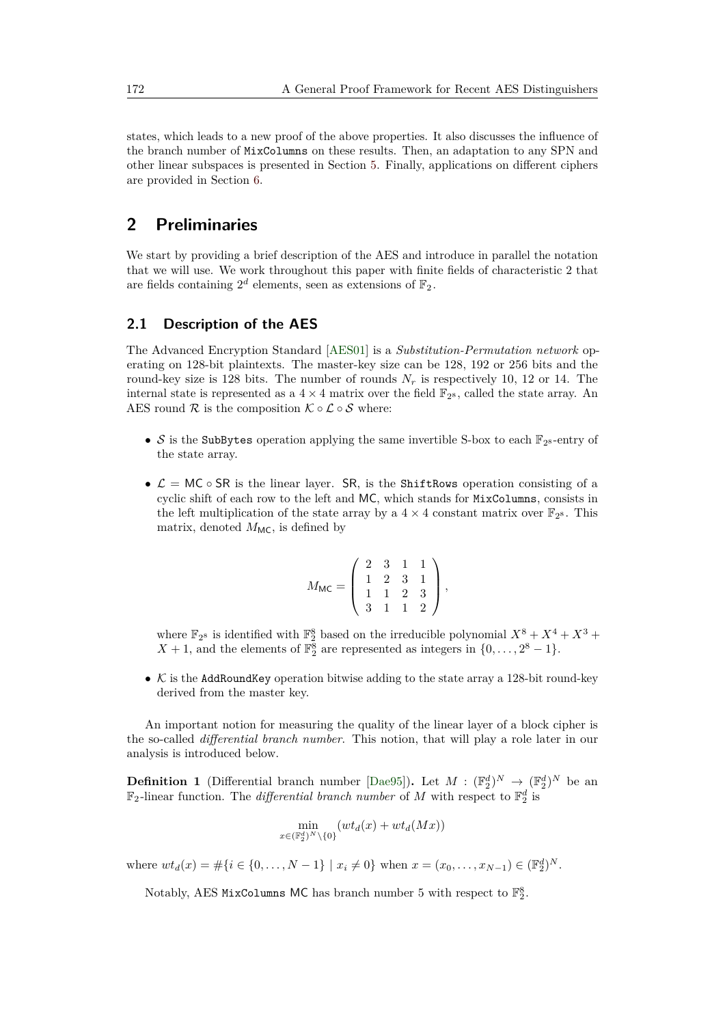states, which leads to a new proof of the above properties. It also discusses the influence of the branch number of MixColumns on these results. Then, an adaptation to any SPN and other linear subspaces is presented in Section [5.](#page-10-0) Finally, applications on different ciphers are provided in Section [6.](#page-15-0)

# <span id="page-2-0"></span>**2 Preliminaries**

We start by providing a brief description of the AES and introduce in parallel the notation that we will use. We work throughout this paper with finite fields of characteristic 2 that are fields containing  $2^d$  elements, seen as extensions of  $\mathbb{F}_2$ .

#### **2.1 Description of the AES**

The Advanced Encryption Standard [\[AES01\]](#page-19-0) is a *Substitution-Permutation network* operating on 128-bit plaintexts. The master-key size can be 128, 192 or 256 bits and the round-key size is 128 bits. The number of rounds  $N_r$  is respectively 10, 12 or 14. The internal state is represented as a  $4 \times 4$  matrix over the field  $\mathbb{F}_{2^8}$ , called the state array. An AES round  $\mathcal R$  is the composition  $\mathcal K \circ \mathcal L \circ \mathcal S$  where:

- $S$  is the SubBytes operation applying the same invertible S-box to each  $\mathbb{F}_{2^8}$ -entry of the state array.
- $\mathcal{L} = MC \circ SR$  is the linear layer. SR, is the ShiftRows operation consisting of a cyclic shift of each row to the left and MC, which stands for MixColumns, consists in the left multiplication of the state array by a  $4 \times 4$  constant matrix over  $\mathbb{F}_{2^8}$ . This matrix, denoted  $M_{MC}$ , is defined by

$$
M_{\text{MC}} = \left( \begin{array}{rrrr} 2 & 3 & 1 & 1 \\ 1 & 2 & 3 & 1 \\ 1 & 1 & 2 & 3 \\ 3 & 1 & 1 & 2 \end{array} \right),
$$

where  $\mathbb{F}_{2^8}$  is identified with  $\mathbb{F}_{2}^{8}$  based on the irreducible polynomial  $X^8 + X^4 + X^3 +$ *X* + 1, and the elements of  $\mathbb{F}_2^8$  are represented as integers in  $\{0, \ldots, 2^8 - 1\}$ .

•  $K$  is the AddRoundKey operation bitwise adding to the state array a 128-bit round-key derived from the master key.

An important notion for measuring the quality of the linear layer of a block cipher is the so-called *differential branch number*. This notion, that will play a role later in our analysis is introduced below.

**Definition 1** (Differential branch number [\[Dae95\]](#page-19-6)). Let  $M : (\mathbb{F}_2^d)^N \to (\mathbb{F}_2^d)^N$  be an  $\mathbb{F}_2$ -linear function. The *differential branch number* of M with respect to  $\mathbb{F}_2^d$  is

$$
\min_{x \in (\mathbb{F}_2^d)^N \setminus \{0\}} (wt_d(x) + wt_d(Mx))
$$

where  $wt_d(x) = \#\{i \in \{0, ..., N-1\} \mid x_i \neq 0\}$  when  $x = (x_0, ..., x_{N-1}) \in (\mathbb{F}_2^d)^N$ .

Notably, AES MixColumns MC has branch number 5 with respect to  $\mathbb{F}_2^8$ .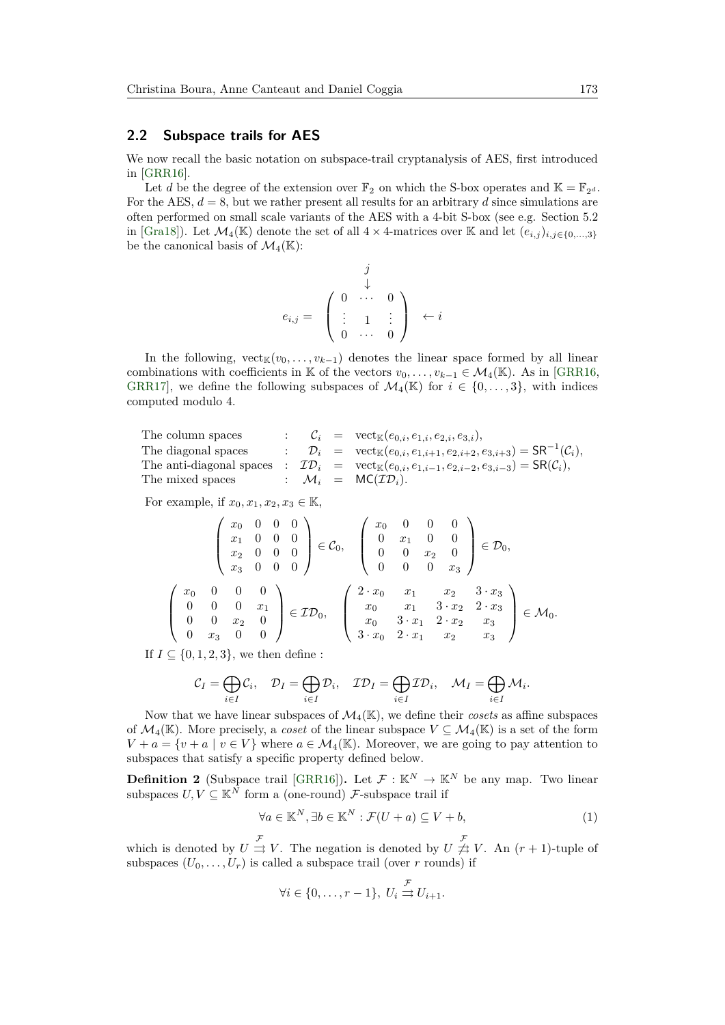#### **2.2 Subspace trails for AES**

We now recall the basic notation on subspace-trail cryptanalysis of AES, first introduced in [\[GRR16\]](#page-20-8).

Let *d* be the degree of the extension over  $\mathbb{F}_2$  on which the S-box operates and  $\mathbb{K} = \mathbb{F}_{2^d}$ . For the AES,  $d = 8$ , but we rather present all results for an arbitrary  $d$  since simulations are often performed on small scale variants of the AES with a 4-bit S-box (see e.g. Section 5.2 in [\[Gra18\]](#page-20-5)). Let  $\mathcal{M}_4(\mathbb{K})$  denote the set of all  $4 \times 4$ -matrices over K and let  $(e_{i,j})_{i,j\in\{0,\ldots,3\}}$ be the canonical basis of  $\mathcal{M}_4(\mathbb{K})$ :

$$
e_{i,j} = \begin{pmatrix} j & & & \\ \downarrow & & & \\ \vdots & 1 & \vdots \\ 0 & \cdots & 0 \end{pmatrix} \leftarrow i
$$

In the following,  $\mathrm{vect}_\mathbb{K}(v_0,\ldots,v_{k-1})$  denotes the linear space formed by all linear combinations with coefficients in K of the vectors  $v_0, \ldots, v_{k-1} \in \mathcal{M}_4(\mathbb{K})$ . As in [\[GRR16,](#page-20-8) [GRR17\]](#page-20-3), we define the following subspaces of  $\mathcal{M}_4(\mathbb{K})$  for  $i \in \{0, \ldots, 3\}$ , with indices computed modulo 4.

The column spaces :  $\mathcal{C}_i$  =  $\mathrm{vect}_{\mathbb{K}}(e_{0,i}, e_{1,i}, e_{2,i}, e_{3,i}),$ The diagonal spaces :  $\mathcal{D}_i$  =  $\text{vect}_{\mathbb{K}}(e_{0,i}, e_{1,i+1}, e_{2,i+2}, e_{3,i+3}) = \text{SR}^{-1}(\mathcal{C}_i)$ , The anti-diagonal spaces :  $\mathcal{ID}_i$  =  $\text{vect}_{\mathbb{K}}(e_{0,i}, e_{1,i-1}, e_{2,i-2}, e_{3,i-3}) = \text{SR}(\mathcal{C}_i)$ , The mixed spaces :  $\mathcal{M}_i$  =  $MC(T\mathcal{D}_i)$ .

For example, if  $x_0, x_1, x_2, x_3 \in \mathbb{K}$ ,

$$
\begin{pmatrix}\nx_0 & 0 & 0 & 0 \\
x_1 & 0 & 0 & 0 \\
x_2 & 0 & 0 & 0 \\
x_3 & 0 & 0 & 0\n\end{pmatrix} \in \mathcal{C}_0, \quad\n\begin{pmatrix}\nx_0 & 0 & 0 & 0 \\
0 & x_1 & 0 & 0 \\
0 & 0 & x_2 & 0 \\
0 & 0 & 0 & x_3\n\end{pmatrix} \in \mathcal{D}_0,
$$
\n
$$
\begin{pmatrix}\nx_0 & 0 & 0 & 0 \\
0 & 0 & x_1 & 0 \\
0 & 0 & x_2 & 0 \\
0 & x_3 & 0 & 0\n\end{pmatrix} \in \mathcal{ID}_0, \quad\n\begin{pmatrix}\n2 \cdot x_0 & x_1 & x_2 & 3 \cdot x_3 \\
x_0 & x_1 & 3 \cdot x_2 & 2 \cdot x_3 \\
x_0 & 3 \cdot x_1 & 2 \cdot x_2 & x_3 \\
3 \cdot x_0 & 2 \cdot x_1 & x_2 & x_3\n\end{pmatrix} \in \mathcal{M}_0.
$$

If  $I \subseteq \{0, 1, 2, 3\}$ , we then define :

$$
\mathcal{C}_I = \bigoplus_{i \in I} \mathcal{C}_i, \quad \mathcal{D}_I = \bigoplus_{i \in I} \mathcal{D}_i, \quad \mathcal{ID}_I = \bigoplus_{i \in I} \mathcal{ID}_i, \quad \mathcal{M}_I = \bigoplus_{i \in I} \mathcal{M}_i.
$$

Now that we have linear subspaces of  $\mathcal{M}_4(\mathbb{K})$ , we define their *cosets* as affine subspaces of  $\mathcal{M}_4(\mathbb{K})$ . More precisely, a *coset* of the linear subspace  $V \subseteq \mathcal{M}_4(\mathbb{K})$  is a set of the form  $V + a = \{v + a \mid v \in V\}$  where  $a \in \mathcal{M}_4(\mathbb{K})$ . Moreover, we are going to pay attention to subspaces that satisfy a specific property defined below.

**Definition 2** (Subspace trail [\[GRR16\]](#page-20-8)). Let  $\mathcal{F} : \mathbb{K}^N \to \mathbb{K}^N$  be any map. Two linear subspaces  $U, V \subseteq \mathbb{K}^N$  form a (one-round) F-subspace trail if

$$
\forall a \in \mathbb{K}^{N}, \exists b \in \mathbb{K}^{N} : \mathcal{F}(U+a) \subseteq V+b,
$$
\n<sup>(1)</sup>

which is denoted by  $U \stackrel{\mathcal{F}}{\rightrightarrows} V$ . The negation is denoted by  $U \not\stackrel{\mathcal{F}}{\rightrightarrows} V$ . An  $(r+1)$ -tuple of subspaces  $(U_0, \ldots, U_r)$  is called a subspace trail (over *r* rounds) if

<span id="page-3-0"></span>
$$
\forall i \in \{0, \ldots, r-1\}, \ U_i \stackrel{\mathcal{F}}{\rightrightarrows} U_{i+1}.
$$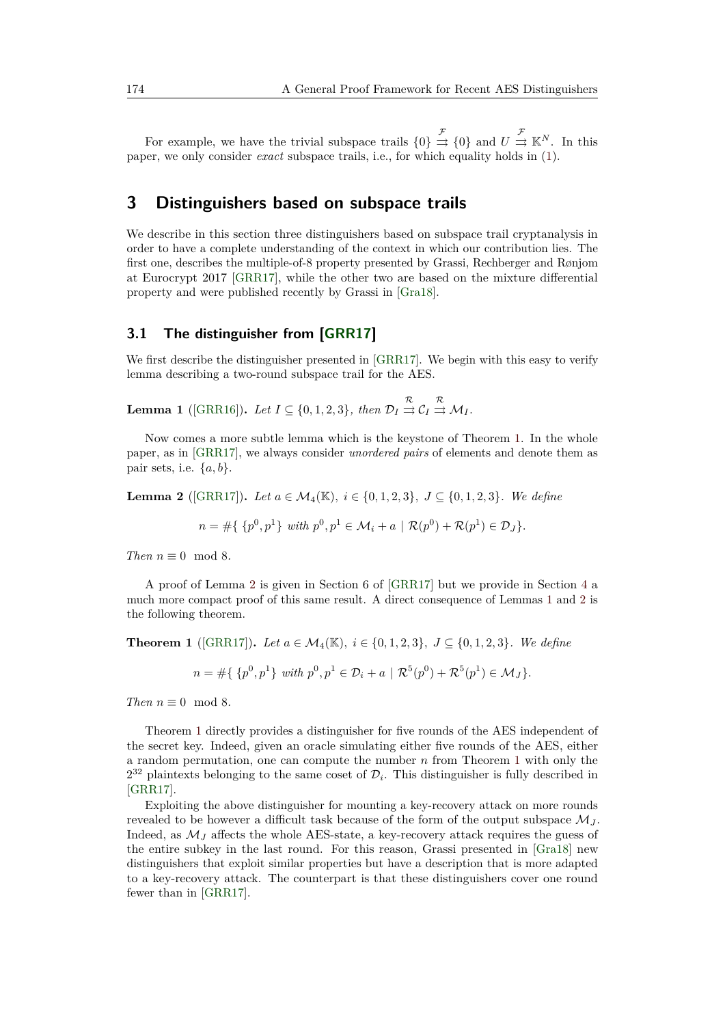For example, we have the trivial subspace trails  $\{0\} \stackrel{\mathcal{F}}{\Rightarrow} \{0\}$  and  $U \stackrel{\mathcal{F}}{\Rightarrow} \mathbb{K}^N$ . In this paper, we only consider *exact* subspace trails, i.e., for which equality holds in [\(1\)](#page-3-0).

### <span id="page-4-0"></span>**3 Distinguishers based on subspace trails**

We describe in this section three distinguishers based on subspace trail cryptanalysis in order to have a complete understanding of the context in which our contribution lies. The first one, describes the multiple-of-8 property presented by Grassi, Rechberger and Rønjom at Eurocrypt 2017 [\[GRR17\]](#page-20-3), while the other two are based on the mixture differential property and were published recently by Grassi in [\[Gra18\]](#page-20-5).

#### **3.1 The distinguisher from [\[GRR17\]](#page-20-3)**

We first describe the distinguisher presented in [\[GRR17\]](#page-20-3). We begin with this easy to verify lemma describing a two-round subspace trail for the AES.

<span id="page-4-3"></span>**Lemma 1** ([\[GRR16\]](#page-20-8)). Let  $I \subseteq \{0, 1, 2, 3\}$ , then  $\mathcal{D}_I \stackrel{\mathcal{R}}{\Rightarrow} \mathcal{C}_I \stackrel{\mathcal{R}}{\Rightarrow} \mathcal{M}_I$ .

Now comes a more subtle lemma which is the keystone of Theorem [1.](#page-4-1) In the whole paper, as in [\[GRR17\]](#page-20-3), we always consider *unordered pairs* of elements and denote them as pair sets, i.e.  $\{a, b\}$ .

<span id="page-4-2"></span>**Lemma 2** ([\[GRR17\]](#page-20-3)). Let  $a \in M_4(\mathbb{K})$ ,  $i \in \{0, 1, 2, 3\}$ ,  $J \subset \{0, 1, 2, 3\}$ . We define

$$
n = #\{\{p^0, p^1\} \text{ with } p^0, p^1 \in \mathcal{M}_i + a \mid \mathcal{R}(p^0) + \mathcal{R}(p^1) \in \mathcal{D}_J\}.
$$

*Then*  $n \equiv 0 \mod 8$ *.* 

A proof of Lemma [2](#page-4-2) is given in Section 6 of [\[GRR17\]](#page-20-3) but we provide in Section [4](#page-5-0) a much more compact proof of this same result. A direct consequence of Lemmas [1](#page-4-3) and [2](#page-4-2) is the following theorem.

<span id="page-4-1"></span>**Theorem 1** ([\[GRR17\]](#page-20-3)). Let  $a \in M_4(\mathbb{K})$ ,  $i \in \{0, 1, 2, 3\}$ ,  $J \subseteq \{0, 1, 2, 3\}$ . We define

$$
n = #\{\{p^0, p^1\} \text{ with } p^0, p^1 \in \mathcal{D}_i + a \mid \mathcal{R}^5(p^0) + \mathcal{R}^5(p^1) \in \mathcal{M}_J\}.
$$

*Then*  $n \equiv 0 \mod 8$ *.* 

Theorem [1](#page-4-1) directly provides a distinguisher for five rounds of the AES independent of the secret key. Indeed, given an oracle simulating either five rounds of the AES, either a random permutation, one can compute the number *n* from Theorem [1](#page-4-1) with only the  $2^{32}$  plaintexts belonging to the same coset of  $\mathcal{D}_i$ . This distinguisher is fully described in [\[GRR17\]](#page-20-3).

Exploiting the above distinguisher for mounting a key-recovery attack on more rounds revealed to be however a difficult task because of the form of the output subspace  $\mathcal{M}_I$ . Indeed, as  $\mathcal{M}_J$  affects the whole AES-state, a key-recovery attack requires the guess of the entire subkey in the last round. For this reason, Grassi presented in [\[Gra18\]](#page-20-5) new distinguishers that exploit similar properties but have a description that is more adapted to a key-recovery attack. The counterpart is that these distinguishers cover one round fewer than in [\[GRR17\]](#page-20-3).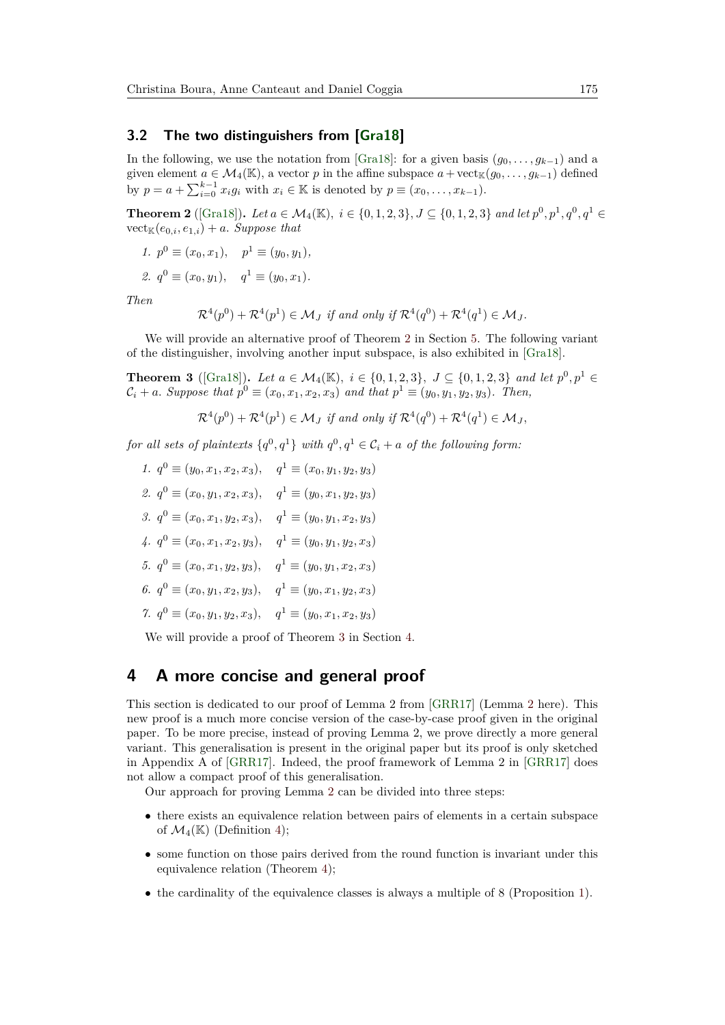#### **3.2 The two distinguishers from [\[Gra18\]](#page-20-5)**

In the following, we use the notation from [\[Gra18\]](#page-20-5): for a given basis  $(g_0, \ldots, g_{k-1})$  and a given element  $a \in \mathcal{M}_4(\mathbb{K})$ , a vector *p* in the affine subspace  $a + \text{vect}_{\mathbb{K}}(g_0, \ldots, g_{k-1})$  defined by  $p = a + \sum_{i=0}^{k-1} x_i g_i$  with  $x_i \in \mathbb{K}$  is denoted by  $p \equiv (x_0, \ldots, x_{k-1})$ .

<span id="page-5-1"></span>**Theorem 2** ([\[Gra18\]](#page-20-5)). Let  $a \in M_4(\mathbb{K})$ ,  $i \in \{0, 1, 2, 3\}$ ,  $J \subseteq \{0, 1, 2, 3\}$  and let  $p^0, p^1, q^0, q^1 \in \{0, 1, 2, 3\}$  $\mathrm{vect}_{\mathbb{K}}(e_{0,i},e_{1,i})+a$ . *Suppose that* 

1. 
$$
p^0 \equiv (x_0, x_1), \quad p^1 \equiv (y_0, y_1),
$$

2. 
$$
q^0 \equiv (x_0, y_1), \quad q^1 \equiv (y_0, x_1).
$$

*Then*

$$
\mathcal{R}^4(p^0) + \mathcal{R}^4(p^1) \in \mathcal{M}_J \text{ if and only if } \mathcal{R}^4(q^0) + \mathcal{R}^4(q^1) \in \mathcal{M}_J.
$$

We will provide an alternative proof of Theorem [2](#page-5-1) in Section [5.](#page-10-0) The following variant of the distinguisher, involving another input subspace, is also exhibited in [\[Gra18\]](#page-20-5).

<span id="page-5-2"></span>**Theorem 3** ([\[Gra18\]](#page-20-5)). Let  $a \in M_4(\mathbb{K})$ ,  $i \in \{0, 1, 2, 3\}$ ,  $J \subseteq \{0, 1, 2, 3\}$  and let  $p^0, p^1 \in$  $C_i + a$ . Suppose that  $p^0 \equiv (x_0, x_1, x_2, x_3)$  and that  $p^1 \equiv (y_0, y_1, y_2, y_3)$ . Then,

 $\mathcal{R}^4(p^0) + \mathcal{R}^4(p^1) \in \mathcal{M}_J$  if and only if  $\mathcal{R}^4(q^0) + \mathcal{R}^4(q^1) \in \mathcal{M}_J$ ,

 $for \ all \ sets \ of \ plaintexts \ \{q^0, q^1\} \ with \ q^0, q^1 \in \mathcal{C}_i + a \ \ of \ the \ following \ form:$ 

*1.*  $q^0 \equiv (y_0, x_1, x_2, x_3), \quad q^1 \equiv (x_0, y_1, y_2, y_3)$ 2.  $q^0$  ≡ ( $x_0, y_1, x_2, x_3$ ),  $q^1$  ≡ ( $y_0, x_1, y_2, y_3$ ) *3.*  $q^0$  ≡ ( $x_0, x_1, y_2, x_3$ ),  $q^1$  ≡ ( $y_0, y_1, x_2, y_3$ ) *4.*  $q^0$  ≡ ( $x_0, x_1, x_2, y_3$ ),  $q^1$  ≡ ( $y_0, y_1, y_2, x_3$ ) *5.*  $q^0 \equiv (x_0, x_1, y_2, y_3), \quad q^1 \equiv (y_0, y_1, x_2, x_3)$ *6.*  $q^0$  ≡ ( $x_0, y_1, x_2, y_3$ ),  $q^1$  ≡ ( $y_0, x_1, y_2, x_3$ ) *7.*  $q^0 \equiv (x_0, y_1, y_2, x_3), \quad q^1 \equiv (y_0, x_1, x_2, y_3)$ 

We will provide a proof of Theorem [3](#page-5-2) in Section [4.](#page-5-0)

# <span id="page-5-0"></span>**4 A more concise and general proof**

This section is dedicated to our proof of Lemma 2 from [\[GRR17\]](#page-20-3) (Lemma [2](#page-4-2) here). This new proof is a much more concise version of the case-by-case proof given in the original paper. To be more precise, instead of proving Lemma 2, we prove directly a more general variant. This generalisation is present in the original paper but its proof is only sketched in Appendix A of [\[GRR17\]](#page-20-3). Indeed, the proof framework of Lemma 2 in [\[GRR17\]](#page-20-3) does not allow a compact proof of this generalisation.

Our approach for proving Lemma [2](#page-4-2) can be divided into three steps:

- there exists an equivalence relation between pairs of elements in a certain subspace of  $\mathcal{M}_4(\mathbb{K})$  (Definition [4\)](#page-6-0);
- some function on those pairs derived from the round function is invariant under this equivalence relation (Theorem [4\)](#page-6-1);
- the cardinality of the equivalence classes is always a multiple of 8 (Proposition [1\)](#page-8-0).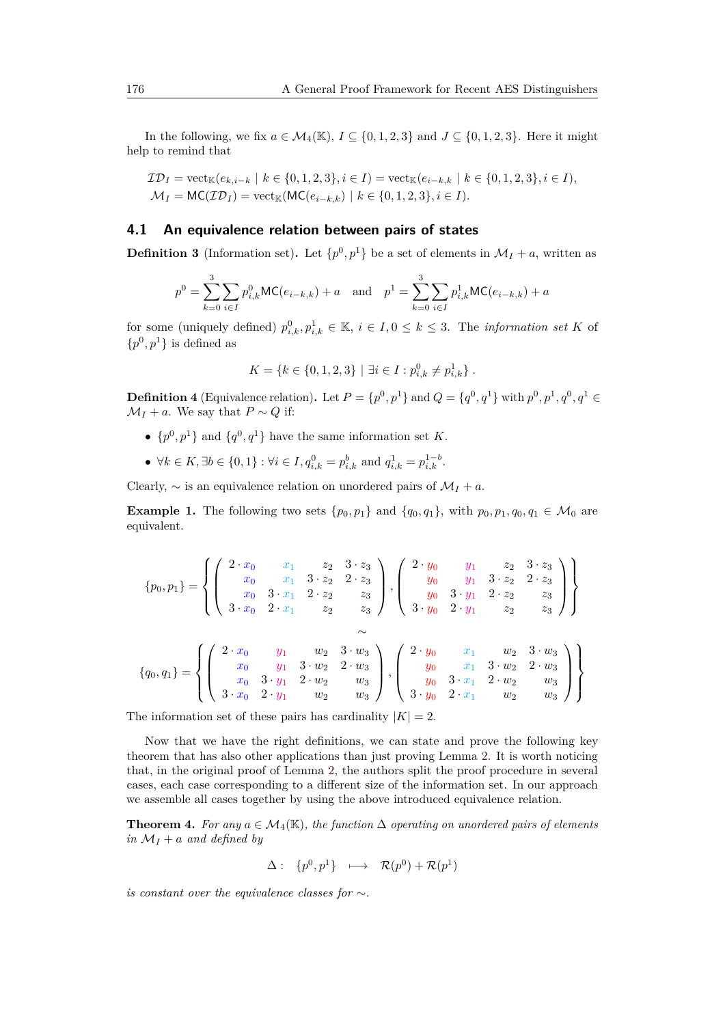In the following, we fix  $a \in M_4(\mathbb{K})$ ,  $I \subseteq \{0, 1, 2, 3\}$  and  $J \subseteq \{0, 1, 2, 3\}$ . Here it might help to remind that

$$
\mathcal{ID}_I = \text{vect}_{\mathbb{K}}(e_{k,i-k} \mid k \in \{0, 1, 2, 3\}, i \in I) = \text{vect}_{\mathbb{K}}(e_{i-k,k} \mid k \in \{0, 1, 2, 3\}, i \in I),
$$
  

$$
\mathcal{M}_I = \text{MC}(\mathcal{ID}_I) = \text{vect}_{\mathbb{K}}(\text{MC}(e_{i-k,k}) \mid k \in \{0, 1, 2, 3\}, i \in I).
$$

#### **4.1 An equivalence relation between pairs of states**

<span id="page-6-2"></span>**Definition 3** (Information set). Let  $\{p^0, p^1\}$  be a set of elements in  $\mathcal{M}_I + a$ , written as

$$
p^{0} = \sum_{k=0}^{3} \sum_{i \in I} p_{i,k}^{0} \mathsf{MC}(e_{i-k,k}) + a \text{ and } p^{1} = \sum_{k=0}^{3} \sum_{i \in I} p_{i,k}^{1} \mathsf{MC}(e_{i-k,k}) + a
$$

for some (uniquely defined)  $p_{i,k}^0, p_{i,k}^1 \in \mathbb{K}, i \in I, 0 \leq k \leq 3$ . The *information set K* of  $\{p^0, p^1\}$  is defined as

$$
K = \{k \in \{0, 1, 2, 3\} \mid \exists i \in I : p_{i,k}^0 \neq p_{i,k}^1\}.
$$

<span id="page-6-0"></span>**Definition 4** (Equivalence relation). Let  $P = \{p^0, p^1\}$  and  $Q = \{q^0, q^1\}$  with  $p^0, p^1, q^0, q^1 \in$  $M_I + a$ . We say that  $P \sim Q$  if:

- $\{p^0, p^1\}$  and  $\{q^0, q^1\}$  have the same information set *K*.
- $\forall k \in K, \exists b \in \{0, 1\} : \forall i \in I, q_{i,k}^0 = p_{i,k}^b \text{ and } q_{i,k}^1 = p_{i,k}^{1-b}.$

Clearly,  $\sim$  is an equivalence relation on unordered pairs of  $\mathcal{M}_I + a$ .

**Example 1.** The following two sets  $\{p_0, p_1\}$  and  $\{q_0, q_1\}$ , with  $p_0, p_1, q_0, q_1 \in \mathcal{M}_0$  are equivalent.

$$
\{p_0, p_1\} = \left\{ \left( \begin{array}{cccc} 2 \cdot x_0 & x_1 & z_2 & 3 \cdot z_3 \\ x_0 & x_1 & 3 \cdot z_2 & 2 \cdot z_3 \\ x_0 & 3 \cdot x_1 & 2 \cdot z_2 & z_3 \\ 3 \cdot x_0 & 2 \cdot x_1 & z_2 & z_3 \end{array} \right), \left( \begin{array}{cccc} 2 \cdot y_0 & y_1 & z_2 & 3 \cdot z_3 \\ y_0 & y_1 & 3 \cdot z_2 & 2 \cdot z_3 \\ y_0 & 3 \cdot y_1 & 2 \cdot z_2 & z_3 \\ 3 \cdot y_0 & 2 \cdot y_1 & z_2 & z_3 \end{array} \right) \right\}
$$
  

$$
\{q_0, q_1\} = \left\{ \left( \begin{array}{cccc} 2 \cdot x_0 & y_1 & w_2 & 3 \cdot w_3 \\ x_0 & y_1 & 3 \cdot w_2 & 2 \cdot w_3 \\ x_0 & 3 \cdot y_1 & 2 \cdot w_2 & w_3 \\ 3 \cdot x_0 & 2 \cdot y_1 & w_2 & w_3 \end{array} \right), \left( \begin{array}{cccc} 2 \cdot y_0 & x_1 & w_2 & 3 \cdot w_3 \\ y_0 & x_1 & 3 \cdot w_2 & 2 \cdot w_3 \\ y_0 & x_1 & 3 \cdot w_2 & 2 \cdot w_3 \\ y_0 & 3 \cdot x_1 & 2 \cdot w_2 & w_3 \\ 3 \cdot y_0 & 2 \cdot x_1 & w_2 & w_3 \end{array} \right) \right\}
$$

The information set of these pairs has cardinality  $|K| = 2$ .

Now that we have the right definitions, we can state and prove the following key theorem that has also other applications than just proving Lemma [2.](#page-4-2) It is worth noticing that, in the original proof of Lemma [2,](#page-4-2) the authors split the proof procedure in several cases, each case corresponding to a different size of the information set. In our approach we assemble all cases together by using the above introduced equivalence relation.

<span id="page-6-1"></span>**Theorem 4.** *For any*  $a \in M_4(\mathbb{K})$ *, the function*  $\Delta$  *operating on unordered pairs of elements in*  $M_I + a$  *and defined by* 

$$
\Delta: \ \{p^0, p^1\} \ \longmapsto \ \mathcal{R}(p^0) + \mathcal{R}(p^1)
$$

*is constant over the equivalence classes for* ∼*.*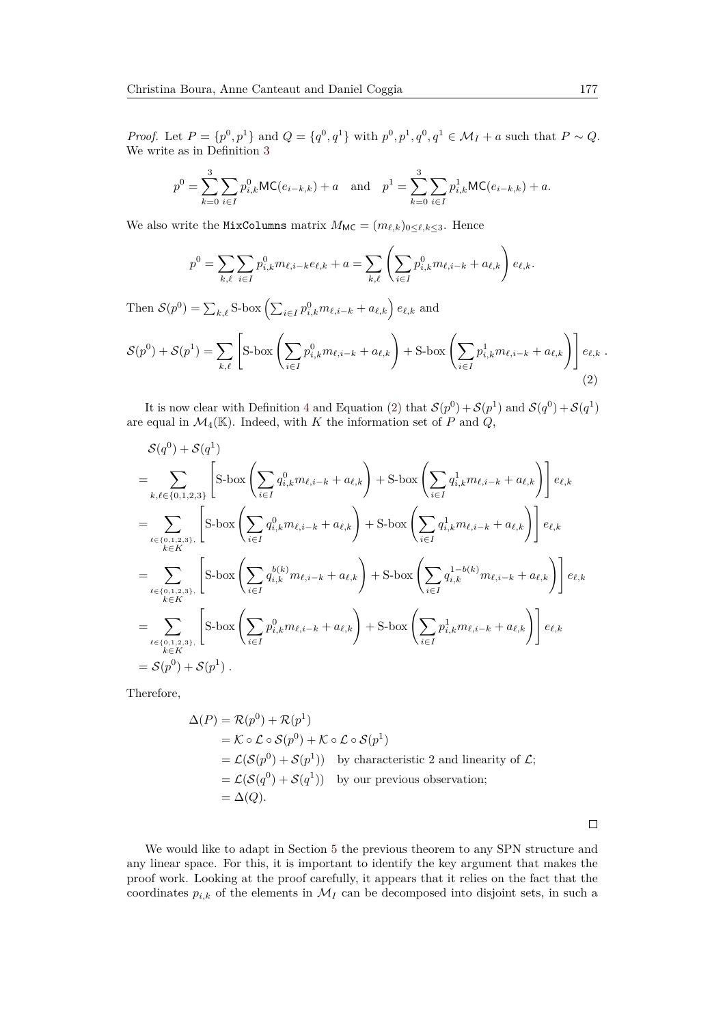*Proof.* Let  $P = \{p^0, p^1\}$  and  $Q = \{q^0, q^1\}$  with  $p^0, p^1, q^0, q^1 \in M_I + a$  such that  $P \sim Q$ . We write as in Definition [3](#page-6-2)

$$
p^{0} = \sum_{k=0}^{3} \sum_{i \in I} p_{i,k}^{0} \mathsf{MC}(e_{i-k,k}) + a \text{ and } p^{1} = \sum_{k=0}^{3} \sum_{i \in I} p_{i,k}^{1} \mathsf{MC}(e_{i-k,k}) + a.
$$

We also write the MixColumns matrix  $M_{MC} = (m_{\ell,k})_{0 \leq \ell,k \leq 3}$ . Hence

<span id="page-7-0"></span>
$$
p^{0} = \sum_{k,\ell} \sum_{i \in I} p_{i,k}^{0} m_{\ell,i-k} e_{\ell,k} + a = \sum_{k,\ell} \left( \sum_{i \in I} p_{i,k}^{0} m_{\ell,i-k} + a_{\ell,k} \right) e_{\ell,k}.
$$

Then  $S(p^0) = \sum_{k,\ell} S$ -box  $\left(\sum_{i \in I} p_{i,k}^0 m_{\ell,i-k} + a_{\ell,k}\right) e_{\ell,k}$  and

$$
\mathcal{S}(p^0) + \mathcal{S}(p^1) = \sum_{k,\ell} \left[ \text{S-box}\left(\sum_{i \in I} p_{i,k}^0 m_{\ell,i-k} + a_{\ell,k}\right) + \text{S-box}\left(\sum_{i \in I} p_{i,k}^1 m_{\ell,i-k} + a_{\ell,k}\right) \right] e_{\ell,k} \tag{2}
$$

It is now clear with Definition [4](#page-6-0) and Equation [\(2\)](#page-7-0) that  $\mathcal{S}(p^0) + \mathcal{S}(p^1)$  and  $\mathcal{S}(q^0) + \mathcal{S}(q^1)$ are equal in  $\mathcal{M}_4(\mathbb{K})$ . Indeed, with *K* the information set of *P* and *Q*,

$$
\mathcal{S}(q^{0}) + \mathcal{S}(q^{1})
$$
\n
$$
= \sum_{k,\ell \in \{0,1,2,3\}} \left[ S\text{-box} \left( \sum_{i \in I} q_{i,k}^{0} m_{\ell,i-k} + a_{\ell,k} \right) + S\text{-box} \left( \sum_{i \in I} q_{i,k}^{1} m_{\ell,i-k} + a_{\ell,k} \right) \right] e_{\ell,k}
$$
\n
$$
= \sum_{\ell \in \{0,1,2,3\}} \left[ S\text{-box} \left( \sum_{i \in I} q_{i,k}^{0} m_{\ell,i-k} + a_{\ell,k} \right) + S\text{-box} \left( \sum_{i \in I} q_{i,k}^{1} m_{\ell,i-k} + a_{\ell,k} \right) \right] e_{\ell,k}
$$
\n
$$
= \sum_{\ell \in \{0,1,2,3\}} \left[ S\text{-box} \left( \sum_{i \in I} q_{i,k}^{0(k)} m_{\ell,i-k} + a_{\ell,k} \right) + S\text{-box} \left( \sum_{i \in I} q_{i,k}^{1-b(k)} m_{\ell,i-k} + a_{\ell,k} \right) \right] e_{\ell,k}
$$
\n
$$
= \sum_{\ell \in \{0,1,2,3\}} \left[ S\text{-box} \left( \sum_{i \in I} p_{i,k}^{0} m_{\ell,i-k} + a_{\ell,k} \right) + S\text{-box} \left( \sum_{i \in I} p_{i,k}^{1-b(k)} m_{\ell,i-k} + a_{\ell,k} \right) \right] e_{\ell,k}
$$
\n
$$
= \mathcal{S}(p^{0}) + \mathcal{S}(p^{1}).
$$

Therefore,

$$
\Delta(P) = \mathcal{R}(p^0) + \mathcal{R}(p^1)
$$
  
=  $\mathcal{K} \circ \mathcal{L} \circ \mathcal{S}(p^0) + \mathcal{K} \circ \mathcal{L} \circ \mathcal{S}(p^1)$   
=  $\mathcal{L}(\mathcal{S}(p^0) + \mathcal{S}(p^1))$  by characteristic 2 and linearity of  $\mathcal{L}$ ;  
=  $\mathcal{L}(\mathcal{S}(q^0) + \mathcal{S}(q^1))$  by our previous observation;  
=  $\Delta(Q)$ .

 $\Box$ 

We would like to adapt in Section [5](#page-10-0) the previous theorem to any SPN structure and any linear space. For this, it is important to identify the key argument that makes the proof work. Looking at the proof carefully, it appears that it relies on the fact that the coordinates  $p_{i,k}$  of the elements in  $\mathcal{M}_I$  can be decomposed into disjoint sets, in such a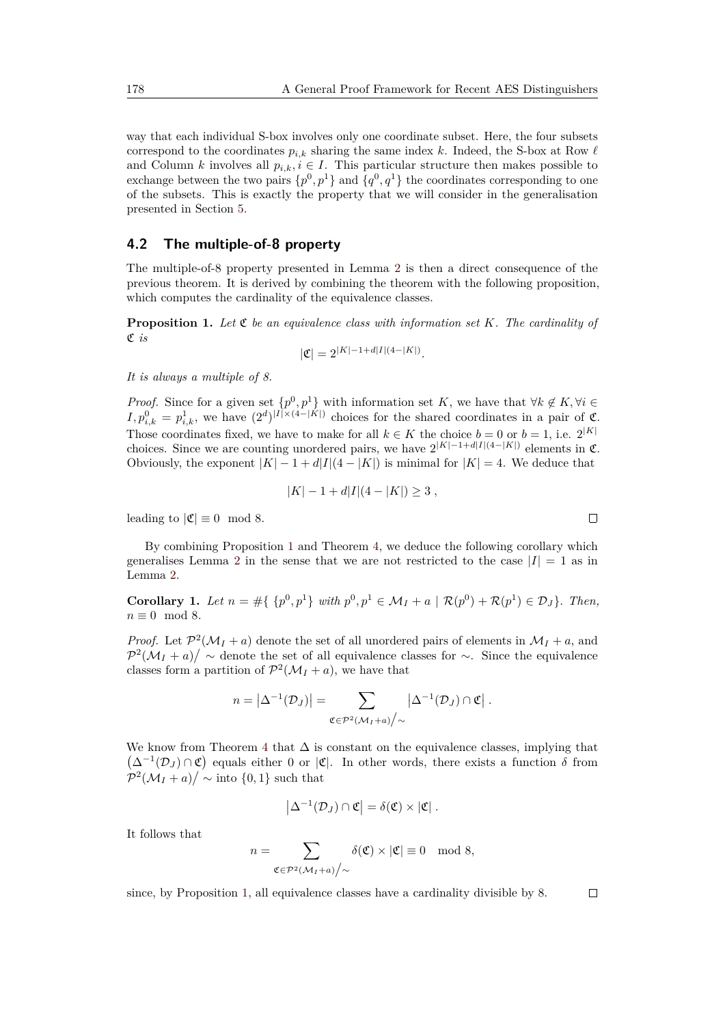way that each individual S-box involves only one coordinate subset. Here, the four subsets correspond to the coordinates  $p_{i,k}$  sharing the same index *k*. Indeed, the S-box at Row  $\ell$ and Column *k* involves all  $p_{i,k}, i \in I$ . This particular structure then makes possible to exchange between the two pairs  $\{p^0, p^1\}$  and  $\{q^0, q^1\}$  the coordinates corresponding to one of the subsets. This is exactly the property that we will consider in the generalisation presented in Section [5.](#page-10-0)

#### **4.2 The multiple-of-8 property**

The multiple-of-8 property presented in Lemma [2](#page-4-2) is then a direct consequence of the previous theorem. It is derived by combining the theorem with the following proposition, which computes the cardinality of the equivalence classes.

<span id="page-8-0"></span>**Proposition 1.** *Let* C *be an equivalence class with information set K. The cardinality of* C *is*

$$
|\mathfrak{C}| = 2^{|K|-1+d|I|(4-|K|)}.
$$

*It is always a multiple of 8.*

*Proof.* Since for a given set  $\{p^0, p^1\}$  with information set *K*, we have that  $\forall k \notin K, \forall i \in$  $I, p_{i,k}^0 = p_{i,k}^1$ , we have  $(2^d)^{|I| \times (4-|K|)}$  choices for the shared coordinates in a pair of  $\mathfrak{C}$ . Those coordinates fixed, we have to make for all  $k \in K$  the choice  $b = 0$  or  $b = 1$ , i.e.  $2^{|K|}$ choices. Since we are counting unordered pairs, we have  $2^{|K|-1+d|I|(4-|K|)}$  elements in  $\mathfrak{C}$ . Obviously, the exponent  $|K| - 1 + d|I|(4 - |K|)$  is minimal for  $|K| = 4$ . We deduce that

$$
|K| - 1 + d|I|(4 - |K|) \ge 3,
$$

leading to  $|\mathfrak{C}| \equiv 0 \mod 8$ .

By combining Proposition [1](#page-8-0) and Theorem [4,](#page-6-1) we deduce the following corollary which generalises Lemma [2](#page-4-2) in the sense that we are not restricted to the case  $|I| = 1$  as in Lemma [2.](#page-4-2)

<span id="page-8-1"></span>**Corollary 1.** Let  $n = \#\{p^0, p^1\}$  with  $p^0, p^1 \in M_I + a \mid \mathcal{R}(p^0) + \mathcal{R}(p^1) \in \mathcal{D}_J\}$ *. Then,*  $n \equiv 0 \mod 8$ .

*Proof.* Let  $\mathcal{P}^2(\mathcal{M}_I + a)$  denote the set of all unordered pairs of elements in  $\mathcal{M}_I + a$ , and  $\mathcal{P}^2(\mathcal{M}_I + a) / \sim$  denote the set of all equivalence classes for  $\sim$ . Since the equivalence classes form a partition of  $\mathcal{P}^2(\mathcal{M}_I + a)$ , we have that

$$
n = \left|\Delta^{-1}(\mathcal{D}_J)\right| = \sum_{\mathfrak{C} \in \mathcal{P}^2(\mathcal{M}_I + a) \big/ \sim} \left|\Delta^{-1}(\mathcal{D}_J) \cap \mathfrak{C}\right|.
$$

We know from Theorem [4](#page-6-1) that  $\Delta$  is constant on the equivalence classes, implying that  $(\Delta^{-1}(\mathcal{D}_J) \cap \mathfrak{C})$  equals either 0 or  $|\mathfrak{C}|$ . In other words, there exists a function  $\delta$  from  $\mathcal{P}^2(\mathcal{M}_I + a) / \sim \text{into } \{0, 1\}$  such that

$$
\left|\Delta^{-1}(\mathcal{D}_J)\cap \mathfrak{C}\right|=\delta(\mathfrak{C})\times |\mathfrak{C}|.
$$

It follows that

*n* =

$$
=\sum_{\mathfrak{C}\in \mathcal{P}^2(\mathcal{M}_I+a)/\sim} \delta(\mathfrak{C})\times |\mathfrak{C}|\equiv 0\mod 8,
$$

since, by Proposition [1,](#page-8-0) all equivalence classes have a cardinality divisible by 8.

$$
\Box
$$

 $\Box$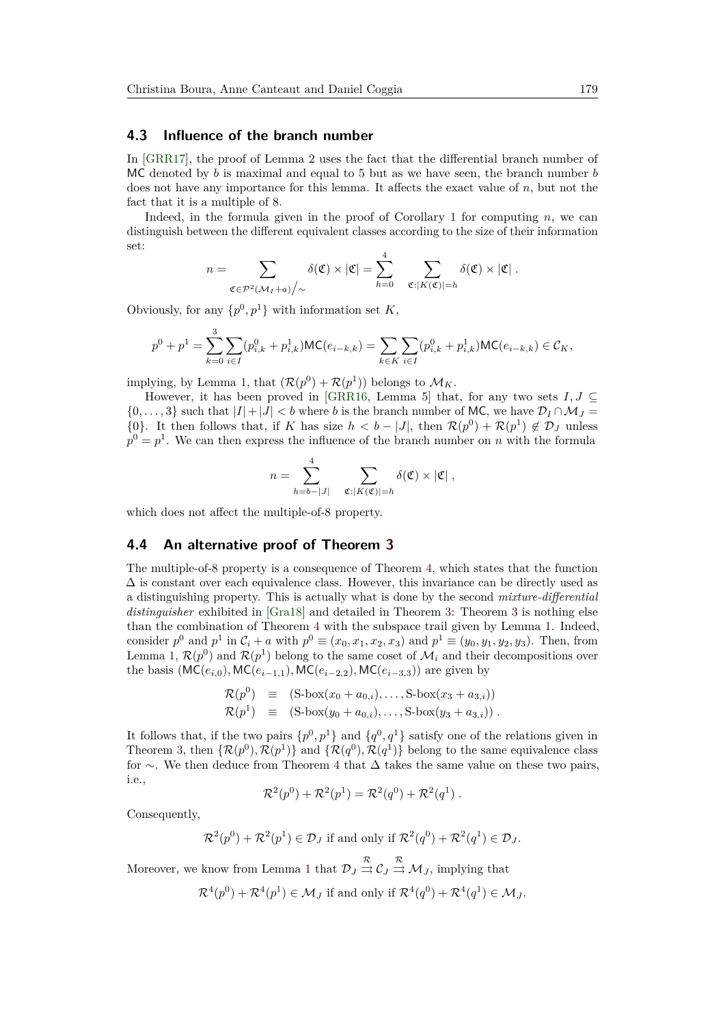#### **4.3 Influence of the branch number**

In [\[GRR17\]](#page-20-3), the proof of Lemma 2 uses the fact that the differential branch number of MC denoted by *b* is maximal and equal to 5 but as we have seen, the branch number *b* does not have any importance for this lemma. It affects the exact value of *n*, but not the fact that it is a multiple of 8.

Indeed, in the formula given in the proof of Corollary [1](#page-8-1) for computing *n*, we can distinguish between the different equivalent classes according to the size of their information set:

$$
n = \sum_{\mathfrak{C} \in \mathcal{P}^2(\mathcal{M}_I + a) \big/ \sim} \delta(\mathfrak{C}) \times |\mathfrak{C}| = \sum_{h=0}^4 \sum_{\mathfrak{C}: |K(\mathfrak{C})| = h} \delta(\mathfrak{C}) \times |\mathfrak{C}|.
$$

Obviously, for any  $\{p^0, p^1\}$  with information set *K*,

$$
p^{0} + p^{1} = \sum_{k=0}^{3} \sum_{i \in I} (p_{i,k}^{0} + p_{i,k}^{1}) \text{MC}(e_{i-k,k}) = \sum_{k \in K} \sum_{i \in I} (p_{i,k}^{0} + p_{i,k}^{1}) \text{MC}(e_{i-k,k}) \in \mathcal{C}_{K},
$$

implying, by Lemma [1,](#page-4-3) that  $(\mathcal{R}(p^0) + \mathcal{R}(p^1))$  belongs to  $\mathcal{M}_K$ .

However, it has been proved in [\[GRR16,](#page-20-8) Lemma 5] that, for any two sets  $I, J \subseteq$  $\{0, \ldots, 3\}$  such that  $|I|+|J| < b$  where *b* is the branch number of MC, we have  $\mathcal{D}_I \cap \mathcal{M}_J =$ {0}. It then follows that, if *K* has size  $h < b - |J|$ , then  $\mathcal{R}(p^0) + \mathcal{R}(p^1) \notin \mathcal{D}_J$  unless  $p^0 = p^1$ . We can then express the influence of the branch number on *n* with the formula

$$
n = \sum_{h=b-|J|}^{4} \sum_{\mathfrak{C}: |K(\mathfrak{C})|=h} \delta(\mathfrak{C}) \times |\mathfrak{C}|,
$$

which does not affect the multiple-of-8 property.

#### <span id="page-9-0"></span>**4.4 An alternative proof of Theorem [3](#page-5-2)**

The multiple-of-8 property is a consequence of Theorem [4,](#page-6-1) which states that the function  $\Delta$  is constant over each equivalence class. However, this invariance can be directly used as a distinguishing property. This is actually what is done by the second *mixture-differential distinguisher* exhibited in [\[Gra18\]](#page-20-5) and detailed in Theorem [3:](#page-5-2) Theorem [3](#page-5-2) is nothing else than the combination of Theorem [4](#page-6-1) with the subspace trail given by Lemma [1.](#page-4-3) Indeed, consider  $p^0$  and  $p^1$  in  $\mathcal{C}_i + a$  with  $p^0 \equiv (x_0, x_1, x_2, x_3)$  and  $p^1 \equiv (y_0, y_1, y_2, y_3)$ . Then, from Lemma [1,](#page-4-3)  $\mathcal{R}(p^0)$  and  $\mathcal{R}(p^1)$  belong to the same coset of  $\mathcal{M}_i$  and their decompositions over the basis  $(MC(e_{i,0}), MC(e_{i-1,1}), MC(e_{i-2,2}), MC(e_{i-3,3}))$  are given by

$$
\mathcal{R}(p^0) \equiv (S\text{-box}(x_0 + a_{0,i}), \dots, S\text{-box}(x_3 + a_{3,i})) \mathcal{R}(p^1) \equiv (S\text{-box}(y_0 + a_{0,i}), \dots, S\text{-box}(y_3 + a_{3,i})).
$$

It follows that, if the two pairs  $\{p^0, p^1\}$  and  $\{q^0, q^1\}$  satisfy one of the relations given in Theorem [3,](#page-5-2) then  $\{\mathcal{R}(p^0), \mathcal{R}(p^1)\}\$  and  $\{\mathcal{R}(q^0), \mathcal{R}(q^1)\}\$  belong to the same equivalence class for ∼. We then deduce from Theorem [4](#page-6-1) that  $\Delta$  takes the same value on these two pairs, i.e.,

$$
\mathcal{R}^2(p^0) + \mathcal{R}^2(p^1) = \mathcal{R}^2(q^0) + \mathcal{R}^2(q^1) .
$$

Consequently,

$$
\mathcal{R}^2(p^0) + \mathcal{R}^2(p^1) \in \mathcal{D}_J
$$
 if and only if  $\mathcal{R}^2(q^0) + \mathcal{R}^2(q^1) \in \mathcal{D}_J$ .

Moreover, we know from Lemma [1](#page-4-3) that  $\mathcal{D}_J \stackrel{\mathcal{R}}{\Rightarrow} \mathcal{C}_J \stackrel{\mathcal{R}}{\Rightarrow} \mathcal{M}_J$ , implying that

$$
\mathcal{R}^4(p^0) + \mathcal{R}^4(p^1) \in \mathcal{M}_J
$$
 if and only if  $\mathcal{R}^4(q^0) + \mathcal{R}^4(q^1) \in \mathcal{M}_J$ .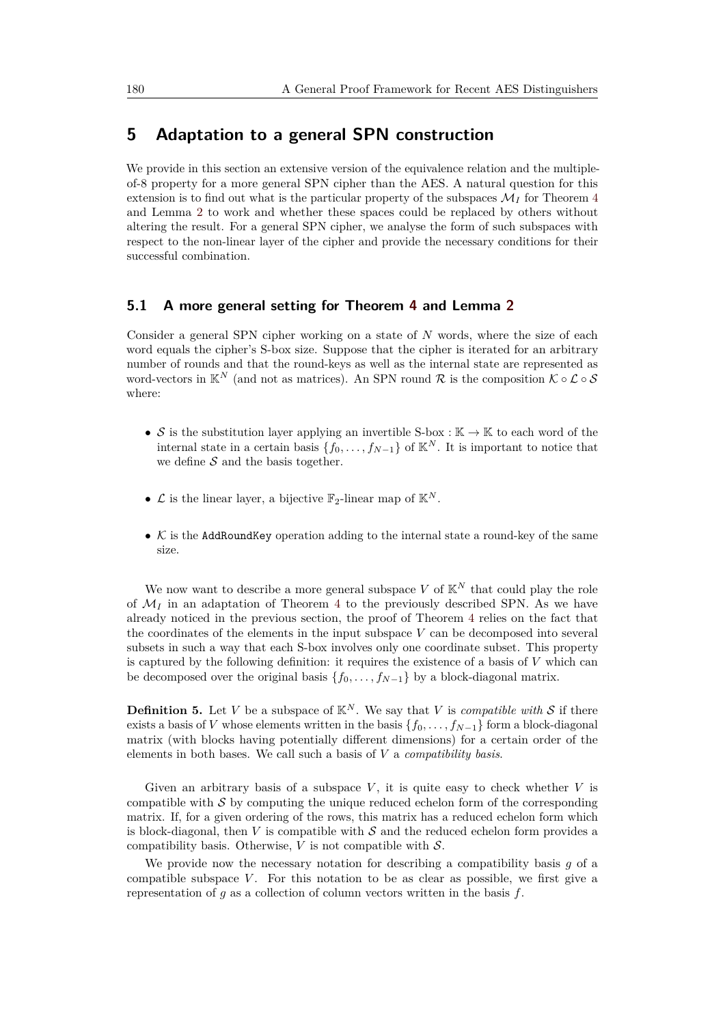### <span id="page-10-0"></span>**5 Adaptation to a general SPN construction**

We provide in this section an extensive version of the equivalence relation and the multipleof-8 property for a more general SPN cipher than the AES. A natural question for this extension is to find out what is the particular property of the subspaces  $\mathcal{M}_I$  for Theorem [4](#page-6-1) and Lemma [2](#page-4-2) to work and whether these spaces could be replaced by others without altering the result. For a general SPN cipher, we analyse the form of such subspaces with respect to the non-linear layer of the cipher and provide the necessary conditions for their successful combination.

#### **5.1 A more general setting for Theorem [4](#page-6-1) and Lemma [2](#page-4-2)**

Consider a general SPN cipher working on a state of *N* words, where the size of each word equals the cipher's S-box size. Suppose that the cipher is iterated for an arbitrary number of rounds and that the round-keys as well as the internal state are represented as word-vectors in  $\mathbb{K}^N$  (and not as matrices). An SPN round R is the composition  $\mathcal{K} \circ \mathcal{L} \circ \mathcal{S}$ where:

- S is the substitution layer applying an invertible S-box :  $\mathbb{K} \to \mathbb{K}$  to each word of the internal state in a certain basis  $\{f_0, \ldots, f_{N-1}\}\$  of  $\mathbb{K}^N$ . It is important to notice that we define  $S$  and the basis together.
- $\mathcal L$  is the linear layer, a bijective  $\mathbb F_2$ -linear map of  $\mathbb K^N$ .
- $K$  is the AddRoundKey operation adding to the internal state a round-key of the same size.

We now want to describe a more general subspace  $V$  of  $K^N$  that could play the role of  $\mathcal{M}_I$  in an adaptation of Theorem [4](#page-6-1) to the previously described SPN. As we have already noticed in the previous section, the proof of Theorem [4](#page-6-1) relies on the fact that the coordinates of the elements in the input subspace *V* can be decomposed into several subsets in such a way that each S-box involves only one coordinate subset. This property is captured by the following definition: it requires the existence of a basis of *V* which can be decomposed over the original basis  ${f_0, \ldots, f_{N-1}}$  by a block-diagonal matrix.

<span id="page-10-1"></span>**Definition 5.** Let *V* be a subspace of  $K^N$ . We say that *V* is *compatible with S* if there exists a basis of *V* whose elements written in the basis  $\{f_0, \ldots, f_{N-1}\}$  form a block-diagonal matrix (with blocks having potentially different dimensions) for a certain order of the elements in both bases. We call such a basis of *V* a *compatibility basis*.

Given an arbitrary basis of a subspace  $V$ , it is quite easy to check whether  $V$  is compatible with  $\mathcal S$  by computing the unique reduced echelon form of the corresponding matrix. If, for a given ordering of the rows, this matrix has a reduced echelon form which is block-diagonal, then  $V$  is compatible with  $S$  and the reduced echelon form provides a compatibility basis. Otherwise,  $V$  is not compatible with  $S$ .

We provide now the necessary notation for describing a compatibility basis *g* of a compatible subspace *V*. For this notation to be as clear as possible, we first give a representation of *g* as a collection of column vectors written in the basis *f*.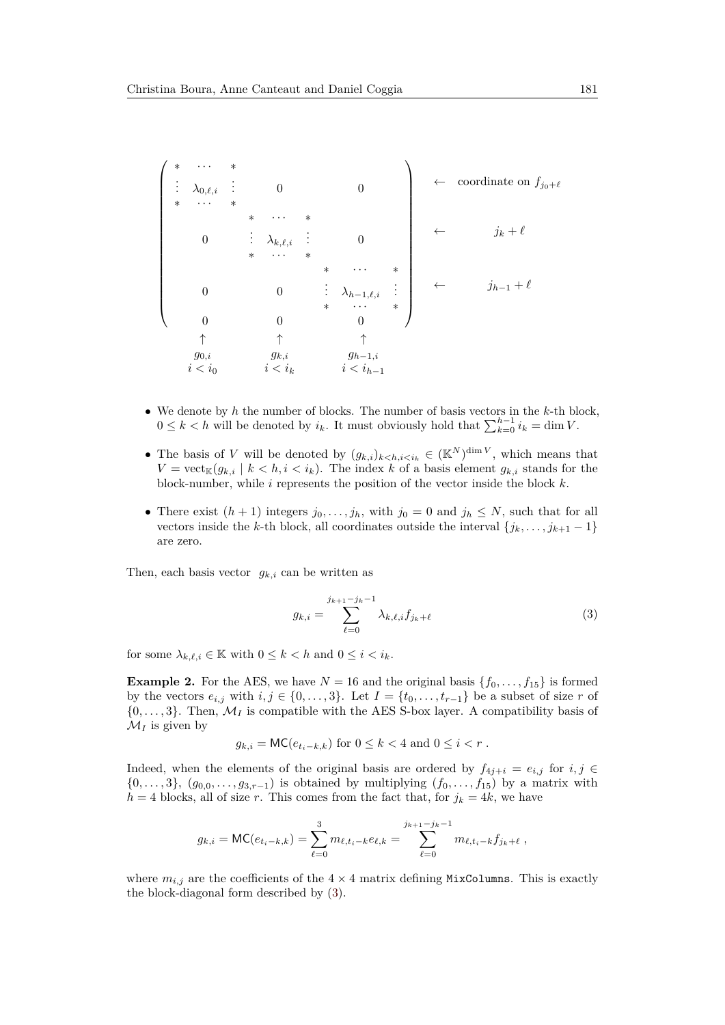$$
\begin{pmatrix}\n* & \cdots & * \\
\vdots & \lambda_{0,\ell,i} & \vdots & 0 & 0 \\
* & \cdots & * & * \\
& & * & \cdots & * \\
& & & * & \cdots & * \\
& & & & * & \cdots & * \\
& & & & & * & \cdots & * \\
& & & & & & * & \cdots & * \\
& & & & & & & * & \cdots & * \\
& & & & & & & & * & \cdots & * \\
& & & & & & & & & * & \cdots & * \\
& & & & & & & & & & * & \cdots & * \\
& & & & & & & & & & & * & \cdots & * \\
& & & & & & & & & & & & * & \cdots & * \\
& & & & & & & & & & & & & * & \cdots & * \\
& & & & & & & & & & & & & & * & \cdots & * \\
& & & & & & & & & & & & & & & * & \cdots & * \\
& & & & & & & & & & & & & & & & * & \cdots & * \\
& & & & & & & & & & & & & & & & & * & \cdots & * \\
& & & & & & & & & & & & & & & & & & * & \cdots & * \\
& & & & & & & & & & & & & & & & & & & & * & \cdots & * & * \end{pmatrix}
$$

- We denote by *h* the number of blocks. The number of basis vectors in the *k*-th block, 0 ≤ *k* < *h* will be denoted by  $i_k$ . It must obviously hold that  $\sum_{k=0}^{h-1} i_k = \dim V$ .
- The basis of *V* will be denoted by  $(g_{k,i})_{k \leq h,i \leq i_k} \in (\mathbb{K}^N)^{\dim V}$ , which means that  $V = \text{vect}_{\mathbb{K}}(g_{k,i} \mid k \leq h, i \leq i_k)$ . The index *k* of a basis element  $g_{k,i}$  stands for the block-number, while *i* represents the position of the vector inside the block *k*.
- There exist  $(h + 1)$  integers  $j_0, \ldots, j_h$ , with  $j_0 = 0$  and  $j_h \leq N$ , such that for all vectors inside the *k*-th block, all coordinates outside the interval  $\{j_k, \ldots, j_{k+1} - 1\}$ are zero.

Then, each basis vector  $g_{k,i}$  can be written as

<span id="page-11-0"></span>
$$
g_{k,i} = \sum_{\ell=0}^{j_{k+1}-j_k-1} \lambda_{k,\ell,i} f_{j_k+\ell} \tag{3}
$$

for some  $\lambda_{k,\ell,i} \in \mathbb{K}$  with  $0 \leq k < h$  and  $0 \leq i < i_k$ .

**Example 2.** For the AES, we have  $N = 16$  and the original basis  $\{f_0, \ldots, f_{15}\}\$  is formed by the vectors  $e_{i,j}$  with  $i, j \in \{0, \ldots, 3\}$ . Let  $I = \{t_0, \ldots, t_{r-1}\}$  be a subset of size *r* of  $\{0, \ldots, 3\}$ . Then,  $\mathcal{M}_I$  is compatible with the AES S-box layer. A compatibility basis of  $\mathcal{M}_I$  is given by

$$
g_{k,i} = \textsf{MC}(e_{t_i-k,k}) \text{ for } 0 \leq k < 4 \text{ and } 0 \leq i < r \text{ .}
$$

Indeed, when the elements of the original basis are ordered by  $f_{4j+i} = e_{i,j}$  for  $i, j \in$  $\{0, \ldots, 3\}, (g_{0,0}, \ldots, g_{3,r-1})$  is obtained by multiplying  $(f_0, \ldots, f_{15})$  by a matrix with  $h = 4$  blocks, all of size *r*. This comes from the fact that, for  $j_k = 4k$ , we have

$$
g_{k,i} = \text{MC}(e_{t_i-k,k}) = \sum_{\ell=0}^3 m_{\ell,t_i-k} e_{\ell,k} = \sum_{\ell=0}^{j_{k+1}-j_k-1} m_{\ell,t_i-k} f_{j_k+\ell},
$$

where  $m_{i,j}$  are the coefficients of the  $4 \times 4$  matrix defining MixColumns. This is exactly the block-diagonal form described by [\(3\)](#page-11-0).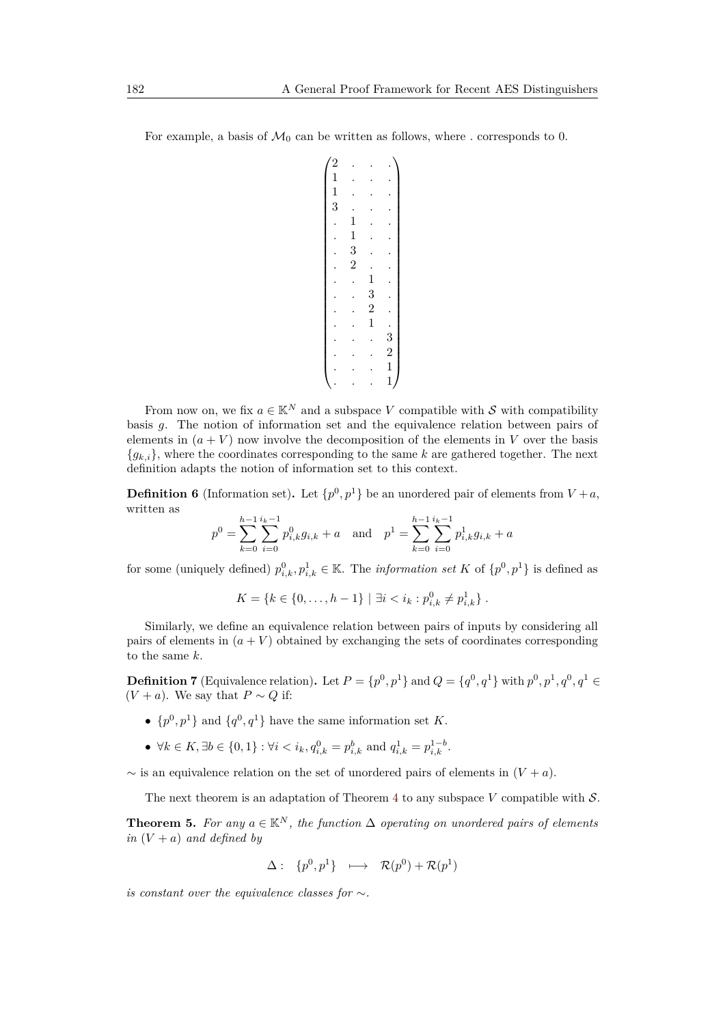For example, a basis of  $\mathcal{M}_0$  can be written as follows, where  $\cdot$  corresponds to 0.

| $\begin{bmatrix} 2 \ 1 \ 1 \ 3 \end{bmatrix}$ |                                            |                                                 |                                               |
|-----------------------------------------------|--------------------------------------------|-------------------------------------------------|-----------------------------------------------|
|                                               |                                            |                                                 |                                               |
|                                               |                                            |                                                 |                                               |
|                                               | $\begin{array}{c} 1 \\ 1 \\ 3 \end{array}$ |                                                 |                                               |
|                                               |                                            |                                                 |                                               |
|                                               |                                            |                                                 |                                               |
|                                               |                                            |                                                 |                                               |
|                                               |                                            |                                                 |                                               |
|                                               |                                            |                                                 |                                               |
|                                               |                                            | $\begin{array}{c} 1 \\ 3 \\ 2 \\ 1 \end{array}$ |                                               |
|                                               |                                            |                                                 |                                               |
|                                               |                                            |                                                 |                                               |
|                                               |                                            |                                                 |                                               |
|                                               |                                            |                                                 |                                               |
|                                               |                                            |                                                 | $\begin{smallmatrix}3\2\1\1\end{smallmatrix}$ |

From now on, we fix  $a \in \mathbb{K}^N$  and a subspace *V* compatible with *S* with compatibility basis *g*. The notion of information set and the equivalence relation between pairs of elements in  $(a + V)$  now involve the decomposition of the elements in V over the basis  ${g_{k,i}}$ , where the coordinates corresponding to the same k are gathered together. The next definition adapts the notion of information set to this context.

**Definition 6** (Information set). Let  $\{p^0, p^1\}$  be an unordered pair of elements from  $V + a$ , written as

$$
p^{0} = \sum_{k=0}^{h-1} \sum_{i=0}^{i_k-1} p_{i,k}^{0} g_{i,k} + a \text{ and } p^{1} = \sum_{k=0}^{h-1} \sum_{i=0}^{i_k-1} p_{i,k}^{1} g_{i,k} + a
$$

for some (uniquely defined)  $p_{i,k}^0, p_{i,k}^1 \in \mathbb{K}$ . The *information set K* of  $\{p^0, p^1\}$  is defined as

 $K = \{k \in \{0, \ldots, h-1\} \mid \exists i < i_k : p_{i,k}^0 \neq p_{i,k}^1\}$ .

Similarly, we define an equivalence relation between pairs of inputs by considering all pairs of elements in  $(a + V)$  obtained by exchanging the sets of coordinates corresponding to the same *k*.

<span id="page-12-0"></span>**Definition 7** (Equivalence relation). Let  $P = \{p^0, p^1\}$  and  $Q = \{q^0, q^1\}$  with  $p^0, p^1, q^0, q^1 \in$  $(V + a)$ . We say that  $P \sim Q$  if:

- $\{p^0, p^1\}$  and  $\{q^0, q^1\}$  have the same information set *K*.
- $\forall k \in K, \exists b \in \{0, 1\} : \forall i \leq i_k, q_{i,k}^0 = p_{i,k}^b \text{ and } q_{i,k}^1 = p_{i,k}^{1-b}.$

 $\sim$  is an equivalence relation on the set of unordered pairs of elements in  $(V + a)$ .

The next theorem is an adaptation of Theorem [4](#page-6-1) to any subspace *V* compatible with S.

<span id="page-12-1"></span>**Theorem 5.** For any  $a \in \mathbb{K}^{N}$ , the function  $\Delta$  operating on unordered pairs of elements *in*  $(V + a)$  *and defined by* 

$$
\Delta: \ \{p^0, p^1\} \ \ \longmapsto \ \ \mathcal{R}(p^0) + \mathcal{R}(p^1)
$$

*is constant over the equivalence classes for* ∼*.*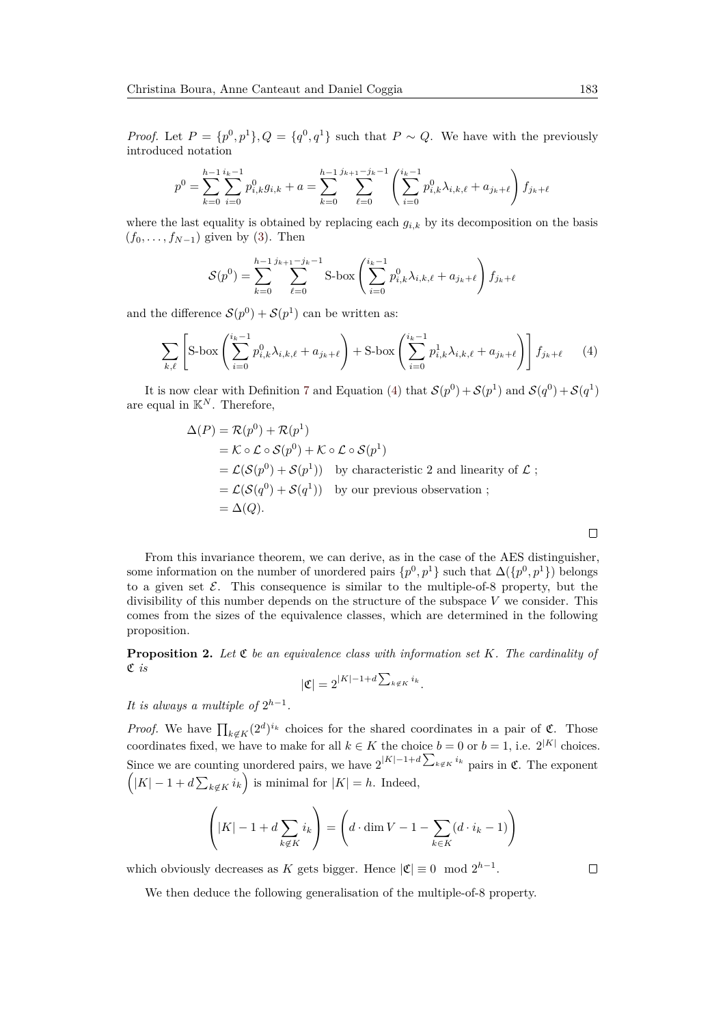*Proof.* Let  $P = \{p^0, p^1\}$ ,  $Q = \{q^0, q^1\}$  such that  $P \sim Q$ . We have with the previously introduced notation

$$
p^{0} = \sum_{k=0}^{h-1} \sum_{i=0}^{i_{k}-1} p_{i,k}^{0} g_{i,k} + a = \sum_{k=0}^{h-1} \sum_{\ell=0}^{j_{k+1}-j_{k}-1} \left( \sum_{i=0}^{i_{k}-1} p_{i,k}^{0} \lambda_{i,k,\ell} + a_{j_{k}+\ell} \right) f_{j_{k}+\ell}
$$

where the last equality is obtained by replacing each  $g_{i,k}$  by its decomposition on the basis  $(f_0, \ldots, f_{N-1})$  given by [\(3\)](#page-11-0). Then

$$
S(p^{0}) = \sum_{k=0}^{h-1} \sum_{\ell=0}^{j_{k+1}-j_{k}-1} S \text{-box} \left( \sum_{i=0}^{i_{k}-1} p_{i,k}^{0} \lambda_{i,k,\ell} + a_{j_{k}+\ell} \right) f_{j_{k}+\ell}
$$

and the difference  $S(p^0) + S(p^1)$  can be written as:

$$
\sum_{k,\ell} \left[ S\text{-box} \left( \sum_{i=0}^{i_k - 1} p_{i,k}^0 \lambda_{i,k,\ell} + a_{j_k + \ell} \right) + S\text{-box} \left( \sum_{i=0}^{i_k - 1} p_{i,k}^1 \lambda_{i,k,\ell} + a_{j_k + \ell} \right) \right] f_{j_k + \ell} \qquad (4)
$$

It is now clear with Definition [7](#page-12-0) and Equation [\(4\)](#page-13-0) that  $S(p^0) + S(p^1)$  and  $S(q^0) + S(q^1)$ are equal in  $\mathbb{K}^N$ . Therefore,

$$
\Delta(P) = \mathcal{R}(p^0) + \mathcal{R}(p^1)
$$
  
=  $\mathcal{K} \circ \mathcal{L} \circ \mathcal{S}(p^0) + \mathcal{K} \circ \mathcal{L} \circ \mathcal{S}(p^1)$   
=  $\mathcal{L}(\mathcal{S}(p^0) + \mathcal{S}(p^1))$  by characteristic 2 and linearity of  $\mathcal{L}$ ;  
=  $\mathcal{L}(\mathcal{S}(q^0) + \mathcal{S}(q^1))$  by our previous observation ;  
=  $\Delta(Q)$ .

From this invariance theorem, we can derive, as in the case of the AES distinguisher, some information on the number of unordered pairs  $\{p^0, p^1\}$  such that  $\Delta(\{p^0, p^1\})$  belongs to a given set  $\mathcal E$ . This consequence is similar to the multiple-of-8 property, but the divisibility of this number depends on the structure of the subspace *V* we consider. This comes from the sizes of the equivalence classes, which are determined in the following proposition.

<span id="page-13-1"></span>**Proposition 2.** Let  $\mathfrak{C}$  be an equivalence class with information set  $K$ . The cardinality of C *is*

$$
|\mathfrak{C}| = 2^{|K|-1+d \sum_{k \notin K} i_k}.
$$

*It is always a multiple of*  $2^{h-1}$ *.* 

*Proof.* We have  $\prod_{k \notin K} (2^d)^{i_k}$  choices for the shared coordinates in a pair of  $\mathfrak{C}$ . Those coordinates fixed, we have to make for all  $k \in K$  the choice  $b = 0$  or  $b = 1$ , i.e.  $2^{|K|}$  choices. Since we are counting unordered pairs, we have  $2^{|K|-1+d} \sum_{k \notin K} i_k$  pairs in  $\mathfrak{C}$ . The exponent  $(K - 1 + d \sum_{k \notin K} i_k)$  is minimal for  $|K| = h$ . Indeed,

$$
\left(|K| - 1 + d \sum_{k \notin K} i_k\right) = \left(d \cdot \dim V - 1 - \sum_{k \in K} (d \cdot i_k - 1)\right)
$$

which obviously decreases as *K* gets bigger. Hence  $|\mathfrak{C}| \equiv 0 \mod 2^{h-1}$ .

We then deduce the following generalisation of the multiple-of-8 property.

<span id="page-13-0"></span> $\Box$ 

 $\Box$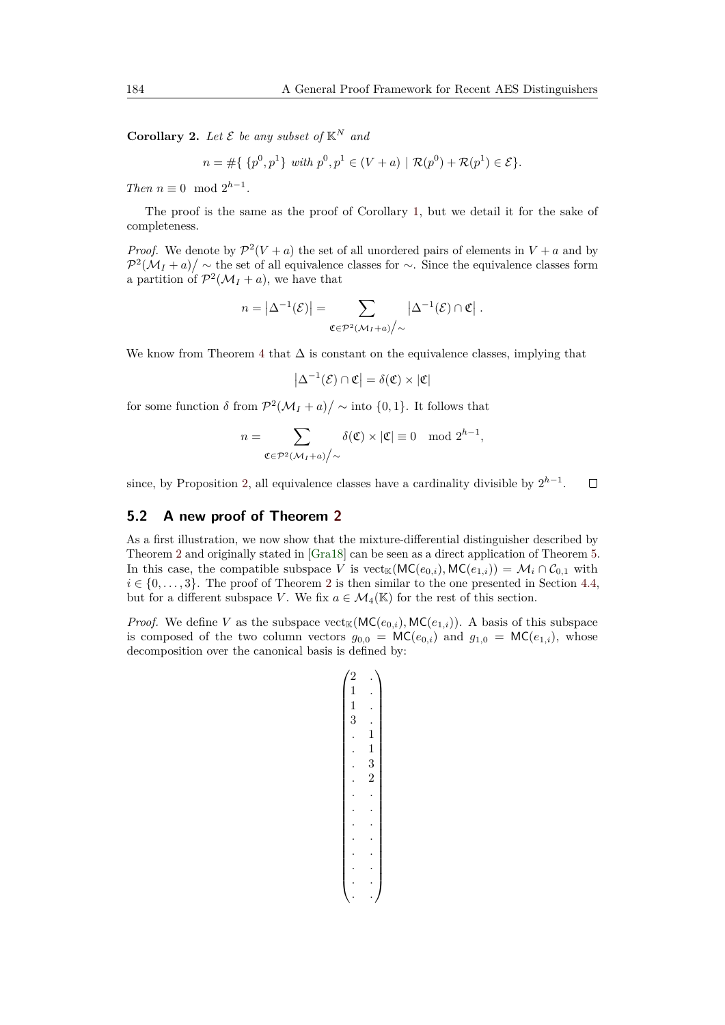<span id="page-14-0"></span>**Corollary 2.** Let  $\mathcal{E}$  be any subset of  $\mathbb{K}^N$  and

 $n = \# \{ \{p^0, p^1\} \text{ with } p^0, p^1 \in (V + a) \mid \mathcal{R}(p^0) + \mathcal{R}(p^1) \in \mathcal{E} \}.$ 

*Then*  $n \equiv 0 \mod 2^{h-1}$ .

The proof is the same as the proof of Corollary [1,](#page-8-1) but we detail it for the sake of completeness.

*Proof.* We denote by  $\mathcal{P}^2(V+a)$  the set of all unordered pairs of elements in  $V+a$  and by  $\mathcal{P}^2(\mathcal{M}_I + a) / \sim$  the set of all equivalence classes for  $\sim$ . Since the equivalence classes form a partition of  $\mathcal{P}^2(\mathcal{M}_I + a)$ , we have that

$$
n = \left|\Delta^{-1}(\mathcal{E})\right| = \sum_{\mathfrak{C} \in \mathcal{P}^2(\mathcal{M}_I + a) \big/ \sim} \left|\Delta^{-1}(\mathcal{E}) \cap \mathfrak{C}\right|.
$$

We know from Theorem [4](#page-6-1) that  $\Delta$  is constant on the equivalence classes, implying that

$$
\left|\Delta^{-1}(\mathcal{E})\cap \mathfrak{C}\right|=\delta(\mathfrak{C})\times |\mathfrak{C}|
$$

for some function  $\delta$  from  $\mathcal{P}^2(\mathcal{M}_I + a) / \sim \text{into } \{0, 1\}$ . It follows that

$$
n = \sum_{\mathfrak{C} \in \mathcal{P}^2(\mathcal{M}_I + a) \big/ \sim} \delta(\mathfrak{C}) \times |\mathfrak{C}| \equiv 0 \mod 2^{h-1},
$$

since, by Proposition [2,](#page-13-1) all equivalence classes have a cardinality divisible by  $2^{h-1}$ .  $\Box$ 

#### **5.2 A new proof of Theorem [2](#page-5-1)**

As a first illustration, we now show that the mixture-differential distinguisher described by Theorem [2](#page-5-1) and originally stated in [\[Gra18\]](#page-20-5) can be seen as a direct application of Theorem [5.](#page-12-1) In this case, the compatible subspace *V* is vect<sub>K</sub>( $MC(e_{0,i})$ ,  $MC(e_{1,i}) = M_i \cap C_{0,1}$  with  $i \in \{0, \ldots, 3\}$ . The proof of Theorem [2](#page-5-1) is then similar to the one presented in Section [4.4,](#page-9-0) but for a different subspace *V*. We fix  $a \in M_4(\mathbb{K})$  for the rest of this section.

*Proof.* We define *V* as the subspace  $\text{vect}_{\mathbb{K}}(\text{MC}(e_{0,i}), \text{MC}(e_{1,i}))$ . A basis of this subspace is composed of the two column vectors  $g_{0,0} = \mathsf{MC}(e_{0,i})$  and  $g_{1,0} = \mathsf{MC}(e_{1,i})$ , whose decomposition over the canonical basis is defined by:

$$
\begin{pmatrix} 2 & . \\ 1 & . \\ 1 & . \\ 3 & . \\ 3 & . \\ \vdots & 1 \\ \vdots & 3 \\ \vdots & 2 \\ \vdots & . \\ \vdots & . \\ \vdots & . \\ \vdots & . \\ \vdots & . \\ \vdots & . \\ \vdots & . \end{pmatrix}
$$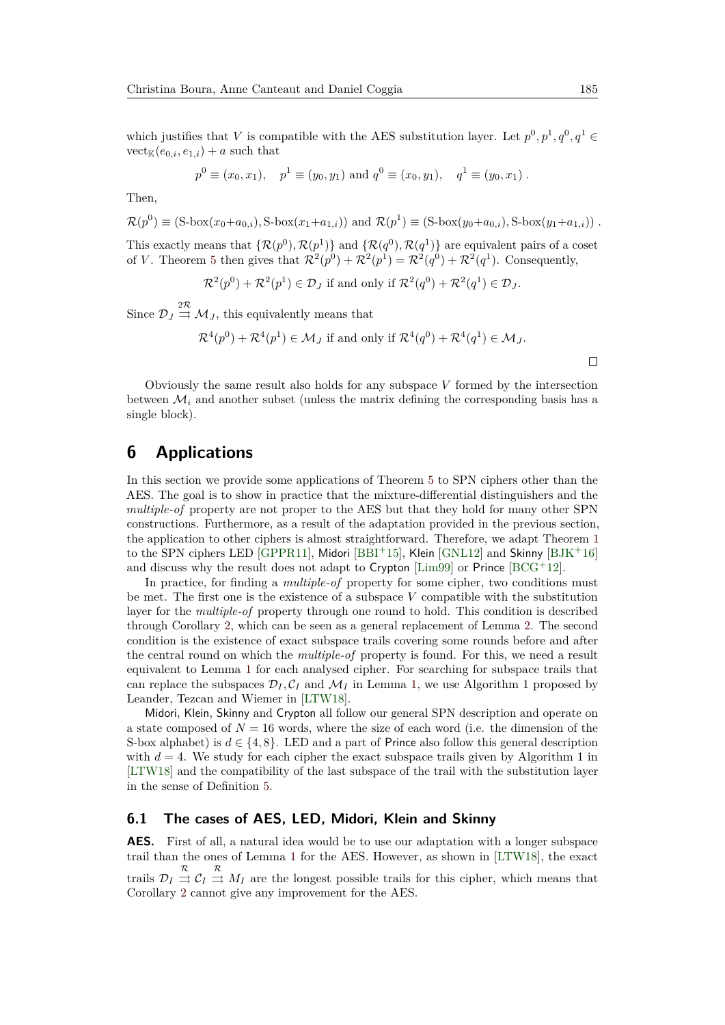which justifies that *V* is compatible with the AES substitution layer. Let  $p^0, p^1, q^0, q^1 \in$  $\mathrm{vect}_{\mathbb{K}}(e_{0,i},e_{1,i})+a$  such that

$$
p^0 \equiv (x_0, x_1), \quad p^1 \equiv (y_0, y_1) \text{ and } q^0 \equiv (x_0, y_1), \quad q^1 \equiv (y_0, x_1).
$$

Then,

 $\mathcal{R}(p^0) \equiv (\text{S-box}(x_0 + a_{0,i}), \text{S-box}(x_1 + a_{1,i}))$  and  $\mathcal{R}(p^1) \equiv (\text{S-box}(y_0 + a_{0,i}), \text{S-box}(y_1 + a_{1,i}))$ .

This exactly means that  $\{\mathcal{R}(p^0), \mathcal{R}(p^1)\}\$  and  $\{\mathcal{R}(q^0), \mathcal{R}(q^1)\}\$  are equivalent pairs of a coset of *V*. Theorem [5](#page-12-1) then gives that  $\mathcal{R}^2(p^0) + \mathcal{R}^2(p^1) = \mathcal{R}^2(q^0) + \mathcal{R}^2(q^1)$ . Consequently,

$$
\mathcal{R}^2(p^0) + \mathcal{R}^2(p^1) \in \mathcal{D}_J
$$
 if and only if  $\mathcal{R}^2(q^0) + \mathcal{R}^2(q^1) \in \mathcal{D}_J$ .

Since  $\mathcal{D}_J \stackrel{2\mathcal{R}}{\rightrightarrows} \mathcal{M}_J$ , this equivalently means that

$$
\mathcal{R}^4(p^0) + \mathcal{R}^4(p^1) \in \mathcal{M}_J
$$
 if and only if  $\mathcal{R}^4(q^0) + \mathcal{R}^4(q^1) \in \mathcal{M}_J$ .

Obviously the same result also holds for any subspace *V* formed by the intersection between  $\mathcal{M}_i$  and another subset (unless the matrix defining the corresponding basis has a single block).

# <span id="page-15-0"></span>**6 Applications**

In this section we provide some applications of Theorem [5](#page-12-1) to SPN ciphers other than the AES. The goal is to show in practice that the mixture-differential distinguishers and the *multiple-of* property are not proper to the AES but that they hold for many other SPN constructions. Furthermore, as a result of the adaptation provided in the previous section, the application to other ciphers is almost straightforward. Therefore, we adapt Theorem [1](#page-4-1) to the SPN ciphers LED [\[GPPR11\]](#page-20-7), Midori [\[BBI](#page-19-4)+15], Klein [\[GNL12\]](#page-20-6) and Skinny [\[BJK](#page-19-5)+16] and discuss why the result does not adapt to Crypton [\[Lim99\]](#page-20-9) or Prince  $[BCG^+12]$  $[BCG^+12]$ .

In practice, for finding a *multiple-of* property for some cipher, two conditions must be met. The first one is the existence of a subspace *V* compatible with the substitution layer for the *multiple-of* property through one round to hold. This condition is described through Corollary [2,](#page-14-0) which can be seen as a general replacement of Lemma [2.](#page-4-2) The second condition is the existence of exact subspace trails covering some rounds before and after the central round on which the *multiple-of* property is found. For this, we need a result equivalent to Lemma [1](#page-4-3) for each analysed cipher. For searching for subspace trails that can replace the subspaces  $\mathcal{D}_I, \mathcal{C}_I$  and  $\mathcal{M}_I$  in Lemma [1,](#page-4-3) we use Algorithm 1 proposed by Leander, Tezcan and Wiemer in [\[LTW18\]](#page-20-10).

Midori, Klein, Skinny and Crypton all follow our general SPN description and operate on a state composed of  $N = 16$  words, where the size of each word (i.e. the dimension of the S-box alphabet) is  $d \in \{4, 8\}$ . LED and a part of Prince also follow this general description with  $d = 4$ . We study for each cipher the exact subspace trails given by Algorithm 1 in [\[LTW18\]](#page-20-10) and the compatibility of the last subspace of the trail with the substitution layer in the sense of Definition [5.](#page-10-1)

#### **6.1 The cases of AES, LED, Midori, Klein and Skinny**

**AES.** First of all, a natural idea would be to use our adaptation with a longer subspace trail than the ones of Lemma [1](#page-4-3) for the AES. However, as shown in [\[LTW18\]](#page-20-10), the exact trails  $\mathcal{D}_I \stackrel{\mathcal{R}}{\Rightarrow} \mathcal{C}_I \stackrel{\mathcal{R}}{\Rightarrow} M_I$  are the longest possible trails for this cipher, which means that Corollary [2](#page-14-0) cannot give any improvement for the AES.

 $\Box$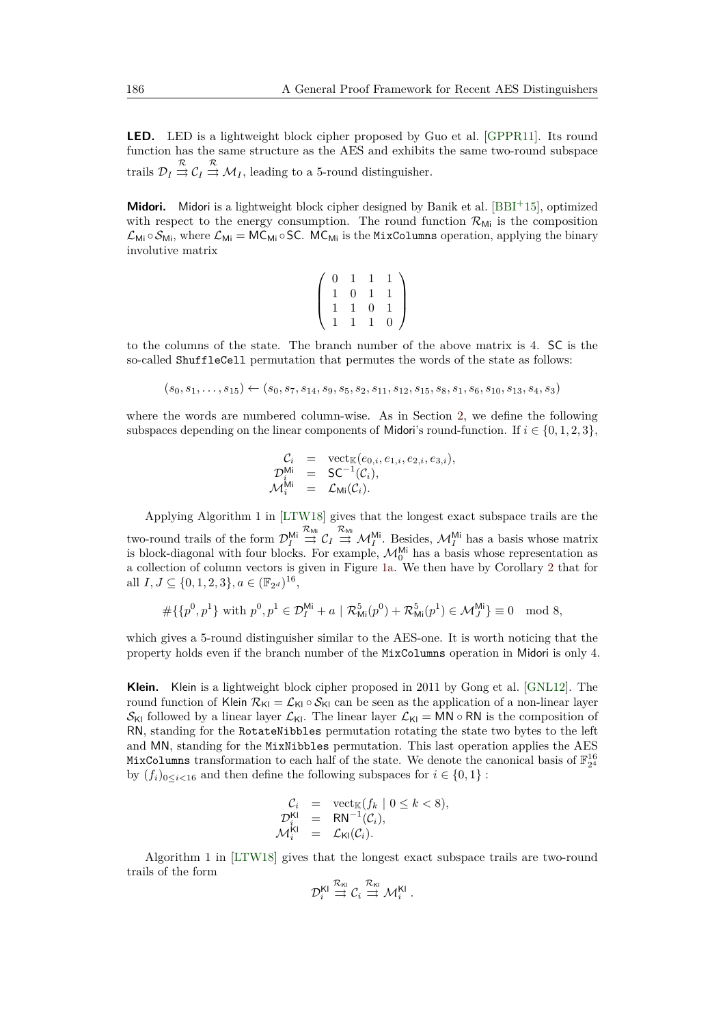**LED.** LED is a lightweight block cipher proposed by Guo et al. [\[GPPR11\]](#page-20-7). Its round function has the same structure as the AES and exhibits the same two-round subspace trails  $\mathcal{D}_I \stackrel{\mathcal{R}}{\rightrightarrows} \mathcal{C}_I \stackrel{\mathcal{R}}{\rightrightarrows} \mathcal{M}_I$ , leading to a 5-round distinguisher.

**Midori.** Midori is a lightweight block cipher designed by Banik et al. [\[BBI](#page-19-4)<sup>+</sup>15], optimized with respect to the energy consumption. The round function  $\mathcal{R}_{\text{Mi}}$  is the composition  $\mathcal{L}_{Mi} \circ \mathcal{S}_{Mi}$ , where  $\mathcal{L}_{Mi} = MC_{Mi} \circ SC$ . MC<sub>Mi</sub> is the MixColumns operation, applying the binary involutive matrix

$$
\left(\begin{array}{rrrr} 0 & 1 & 1 & 1 \\ 1 & 0 & 1 & 1 \\ 1 & 1 & 0 & 1 \\ 1 & 1 & 1 & 0 \end{array}\right)
$$

to the columns of the state. The branch number of the above matrix is 4. SC is the so-called ShuffleCell permutation that permutes the words of the state as follows:

$$
(s_0, s_1, \ldots, s_{15}) \leftarrow (s_0, s_7, s_{14}, s_9, s_5, s_2, s_{11}, s_{12}, s_{15}, s_8, s_1, s_6, s_{10}, s_{13}, s_4, s_3)
$$

where the words are numbered column-wise. As in Section [2,](#page-2-0) we define the following subspaces depending on the linear components of Midori's round-function. If  $i \in \{0, 1, 2, 3\}$ ,

$$
\begin{array}{rcl}\n\mathcal{C}_i & = & \mathrm{vect}_{\mathbb{K}}(e_{0,i}, e_{1,i}, e_{2,i}, e_{3,i}), \\
\mathcal{D}_i^{\mathsf{Mi}} & = & \mathsf{SC}^{-1}(\mathcal{C}_i), \\
\mathcal{M}_i^{\mathsf{Mi}} & = & \mathcal{L}_{\mathsf{Mi}}(\mathcal{C}_i).\n\end{array}
$$

Applying Algorithm 1 in [\[LTW18\]](#page-20-10) gives that the longest exact subspace trails are the two-round trails of the form  $\mathcal{D}_I^{\mathsf{Mi}}$  $\stackrel{\mathcal{R}_{\text{Mi}}}{\rightrightarrows}$   $\mathcal{C}_I \stackrel{\mathcal{R}_{\text{Mi}}}{\rightrightarrows}$   $\mathcal{M}_I^{\text{Mi}}$ . Besides,  $\mathcal{M}_I^{\text{Mi}}$  has a basis whose matrix is block-diagonal with four blocks. For example,  $\mathcal{M}_0^{\mathsf{Mi}}$  has a basis whose representation as a collection of column vectors is given in Figure [1a.](#page-17-0) We then have by Corollary [2](#page-14-0) that for all  $I, J \subseteq \{0, 1, 2, 3\}, a \in (\mathbb{F}_{2^d})^{16}$ ,

$$
\#\{\{p^0, p^1\} \text{ with } p^0, p^1 \in \mathcal{D}_I^{\mathsf{Mi}} + a \mid \mathcal{R}_{\mathsf{Mi}}^5(p^0) + \mathcal{R}_{\mathsf{Mi}}^5(p^1) \in \mathcal{M}_J^{\mathsf{Mi}}\} \equiv 0 \mod 8,
$$

which gives a 5-round distinguisher similar to the AES-one. It is worth noticing that the property holds even if the branch number of the MixColumns operation in Midori is only 4.

**Klein.** Klein is a lightweight block cipher proposed in 2011 by Gong et al. [\[GNL12\]](#page-20-6). The round function of Klein  $\mathcal{R}_{\text{Kl}} = \mathcal{L}_{\text{Kl}} \circ \mathcal{S}_{\text{Kl}}$  can be seen as the application of a non-linear layer  $S_{\text{KI}}$  followed by a linear layer  $\mathcal{L}_{\text{KI}}$ . The linear layer  $\mathcal{L}_{\text{KI}} = \overrightarrow{MN} \circ \overrightarrow{RN}$  is the composition of RN, standing for the RotateNibbles permutation rotating the state two bytes to the left and MN, standing for the MixNibbles permutation. This last operation applies the AES MixColumns transformation to each half of the state. We denote the canonical basis of  $\mathbb{F}_{2^4}^{16}$ by  $(f_i)_{0 \leq i \leq 16}$  and then define the following subspaces for  $i \in \{0,1\}$ :

$$
C_i = \operatorname{vect}_{\mathbb{K}}(f_k \mid 0 \le k < 8),
$$
  
\n
$$
D_i^{\mathsf{K1}} = \mathsf{RN}^{-1}(\mathcal{C}_i),
$$
  
\n
$$
\mathcal{M}_i^{\mathsf{K1}} = \mathcal{L}_{\mathsf{K1}}(\mathcal{C}_i).
$$

Algorithm 1 in [\[LTW18\]](#page-20-10) gives that the longest exact subspace trails are two-round trails of the form

$$
\mathcal{D}_i^{\mathsf{KI}} \stackrel{\mathcal{R}_{\mathsf{KI}}}{\rightrightarrows} \mathcal{C}_i \stackrel{\mathcal{R}_{\mathsf{KI}}}{\rightrightarrows} \mathcal{M}_i^{\mathsf{KI}}\;.
$$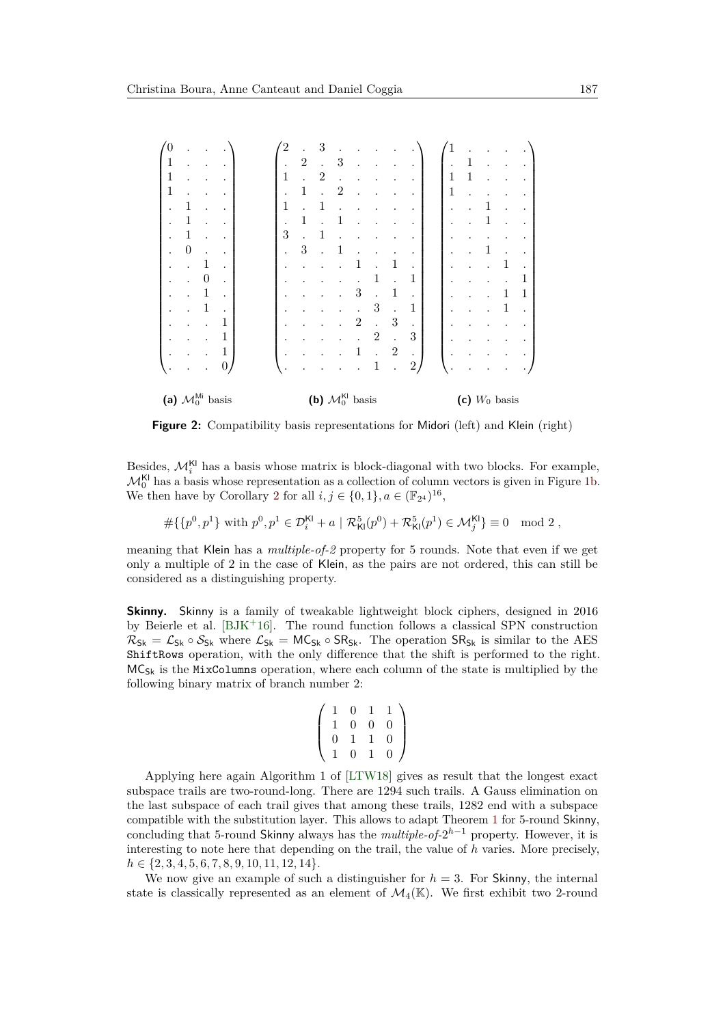| 0                                     |                  |   |              |  |  | $^{'2}$                        | $\bullet$    | 3                    |   |                |                |                |                      |   |              |   |   |   |
|---------------------------------------|------------------|---|--------------|--|--|--------------------------------|--------------|----------------------|---|----------------|----------------|----------------|----------------------|---|--------------|---|---|---|
|                                       |                  |   |              |  |  |                                | $\mathbf{2}$ | $\ddot{\phantom{0}}$ | 3 |                |                |                |                      |   | $\mathbf{1}$ |   |   |   |
|                                       |                  |   |              |  |  | 1                              |              | $\overline{2}$       |   |                |                |                |                      | 1 | 1            |   |   |   |
|                                       |                  |   |              |  |  |                                |              |                      | 2 |                |                |                |                      | 1 |              |   |   |   |
|                                       | 1                |   |              |  |  | 1                              |              | 1                    |   |                |                |                |                      |   |              | 1 |   |   |
|                                       | 1                |   |              |  |  | $\bullet$                      |              |                      |   |                |                |                |                      |   |              | 1 |   |   |
|                                       | 1                |   |              |  |  | 3                              |              | 1                    |   |                |                |                |                      |   |              |   |   |   |
|                                       | $\boldsymbol{0}$ |   |              |  |  | $\ddot{\phantom{0}}$           | 3            |                      |   |                |                |                |                      |   |              |   |   |   |
|                                       |                  | 1 |              |  |  |                                |              |                      |   |                |                | 1              |                      |   |              |   |   |   |
|                                       |                  | 0 |              |  |  |                                |              |                      |   |                |                |                | 1                    |   |              |   |   |   |
|                                       |                  | 1 |              |  |  |                                |              |                      |   | 3              |                | 1              | $\ddot{\phantom{0}}$ |   |              |   | 1 | 1 |
|                                       |                  | 1 |              |  |  |                                |              |                      |   |                | 3              |                | 1                    |   |              |   | 1 |   |
|                                       |                  |   | 1            |  |  |                                |              |                      |   | $\overline{2}$ |                | 3              |                      |   |              |   |   |   |
|                                       |                  |   | 1            |  |  |                                |              |                      |   |                | $\overline{2}$ | $\bullet$      | 3                    |   |              |   |   |   |
|                                       |                  |   | $\mathbf{1}$ |  |  |                                |              |                      |   |                |                | $\overline{2}$ | ٠                    |   |              |   |   |   |
|                                       |                  |   | 0            |  |  | ٠                              |              |                      |   |                | 1              |                | $\overline{2}$       |   |              |   |   |   |
| (a) $\mathcal{M}_0^{\text{Mi}}$ basis |                  |   |              |  |  | (b) $\mathcal{M}_0^{Kl}$ basis |              |                      |   |                |                |                | (c) $W_0$ basis      |   |              |   |   |   |

<span id="page-17-2"></span><span id="page-17-1"></span><span id="page-17-0"></span>**Figure 2:** Compatibility basis representations for Midori (left) and Klein (right)

Besides,  $\mathcal{M}_i^{Kl}$  has a basis whose matrix is block-diagonal with two blocks. For example,  $\mathcal{M}_0^{\mathsf{KL}}$  has a basis whose representation as a collection of column vectors is given in Figure [1b.](#page-17-1) We then have by Corollary [2](#page-14-0) for all  $i, j \in \{0, 1\}, a \in (\mathbb{F}_{2^4})^{16}$ ,

 $\#\{\{p^0, p^1\} \text{ with } p^0, p^1 \in \mathcal{D}_{i}^{\mathsf{Kl}} + a \mid \mathcal{R}_{\mathsf{Kl}}^5(p^0) + \mathcal{R}_{\mathsf{Kl}}^5(p^1) \in \mathcal{M}_{j}^{\mathsf{Kl}}\} \equiv 0 \mod 2,$ 

meaning that Klein has a *multiple-of-2* property for 5 rounds. Note that even if we get only a multiple of 2 in the case of Klein, as the pairs are not ordered, this can still be considered as a distinguishing property.

**Skinny.** Skinny is a family of tweakable lightweight block ciphers, designed in 2016 by Beierle et al. [\[BJK](#page-19-5)<sup>+</sup>16]. The round function follows a classical SPN construction  $R_{Sk} = \mathcal{L}_{Sk} \circ \mathcal{S}_{Sk}$  where  $\mathcal{L}_{Sk} = MC_{Sk} \circ SR_{Sk}$ . The operation  $SR_{Sk}$  is similar to the AES ShiftRows operation, with the only difference that the shift is performed to the right.  $MC_{S_k}$  is the MixColumns operation, where each column of the state is multiplied by the following binary matrix of branch number 2:

$$
\left(\begin{array}{cccc}\n1 & 0 & 1 & 1 \\
1 & 0 & 0 & 0 \\
0 & 1 & 1 & 0 \\
1 & 0 & 1 & 0\n\end{array}\right)
$$

Applying here again Algorithm 1 of [\[LTW18\]](#page-20-10) gives as result that the longest exact subspace trails are two-round-long. There are 1294 such trails. A Gauss elimination on the last subspace of each trail gives that among these trails, 1282 end with a subspace compatible with the substitution layer. This allows to adapt Theorem [1](#page-4-1) for 5-round Skinny, concluding that 5-round Skinny always has the *multiple-of-*2 *<sup>h</sup>*−<sup>1</sup> property. However, it is interesting to note here that depending on the trail, the value of *h* varies. More precisely, *h* ∈ {2*,* 3*,* 4*,* 5*,* 6*,* 7*,* 8*,* 9*,* 10*,* 11*,* 12*,* 14}.

We now give an example of such a distinguisher for  $h = 3$ . For Skinny, the internal state is classically represented as an element of  $\mathcal{M}_4(\mathbb{K})$ . We first exhibit two 2-round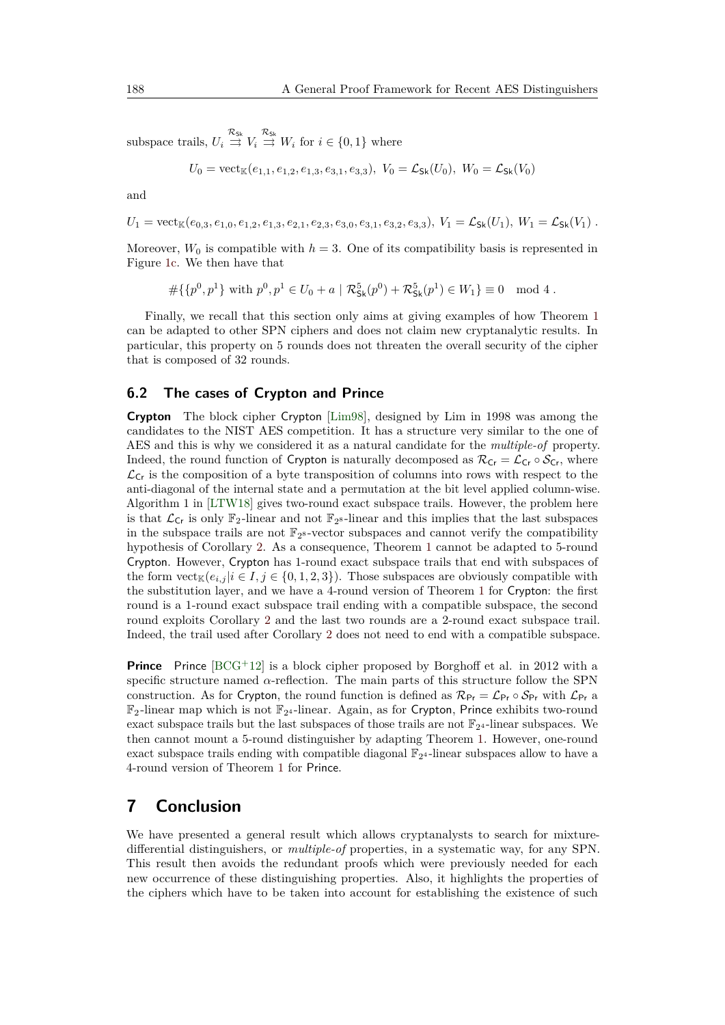subspace trails,  $U_i \stackrel{\mathcal{R}_{\text{Sk}}}{\rightrightarrows} V_i \stackrel{\mathcal{R}_{\text{Sk}}}{\rightrightarrows} W_i$  for  $i \in \{0, 1\}$  where

$$
U_0 = \text{vect}_{\mathbb{K}}(e_{1,1}, e_{1,2}, e_{1,3}, e_{3,1}, e_{3,3}), V_0 = \mathcal{L}_{\text{Sk}}(U_0), W_0 = \mathcal{L}_{\text{Sk}}(V_0)
$$

and

 $U_1 = \text{vect}_{\mathbb{K}}(e_0, s, e_1, 0, e_1, 2, e_1, 3, e_2, 1, e_2, 3, e_3, 0, e_3, 1, e_3, 2, e_3, 3), V_1 = \mathcal{L}_{\mathsf{Sk}}(U_1), W_1 = \mathcal{L}_{\mathsf{Sk}}(V_1)$ .

Moreover,  $W_0$  is compatible with  $h = 3$ . One of its compatibility basis is represented in Figure [1c.](#page-17-2) We then have that

$$
\#\{\{p^0, p^1\} \text{ with } p^0, p^1 \in U_0 + a \mid \mathcal{R}_{\mathsf{Sk}}^5(p^0) + \mathcal{R}_{\mathsf{Sk}}^5(p^1) \in W_1\} \equiv 0 \mod 4.
$$

Finally, we recall that this section only aims at giving examples of how Theorem [1](#page-4-1) can be adapted to other SPN ciphers and does not claim new cryptanalytic results. In particular, this property on 5 rounds does not threaten the overall security of the cipher that is composed of 32 rounds.

#### **6.2 The cases of Crypton and Prince**

**Crypton** The block cipher Crypton [\[Lim98\]](#page-20-11), designed by Lim in 1998 was among the candidates to the NIST AES competition. It has a structure very similar to the one of AES and this is why we considered it as a natural candidate for the *multiple-of* property. Indeed, the round function of Crypton is naturally decomposed as  $\mathcal{R}_{Cr} = \mathcal{L}_{Cr} \circ \mathcal{S}_{Cr}$ , where  $\mathcal{L}_{\mathsf{Cr}}$  is the composition of a byte transposition of columns into rows with respect to the anti-diagonal of the internal state and a permutation at the bit level applied column-wise. Algorithm 1 in [\[LTW18\]](#page-20-10) gives two-round exact subspace trails. However, the problem here is that  $\mathcal{L}_{Cr}$  is only  $\mathbb{F}_2$ -linear and not  $\mathbb{F}_2$ -linear and this implies that the last subspaces in the subspace trails are not  $\mathbb{F}_{2^8}$ -vector subspaces and cannot verify the compatibility hypothesis of Corollary [2.](#page-14-0) As a consequence, Theorem [1](#page-4-1) cannot be adapted to 5-round Crypton. However, Crypton has 1-round exact subspace trails that end with subspaces of the form  $\mathrm{vect}_\mathbb{K}(e_{i,j} | i \in I, j \in \{0,1,2,3\})$ . Those subspaces are obviously compatible with the substitution layer, and we have a 4-round version of Theorem [1](#page-4-1) for Crypton: the first round is a 1-round exact subspace trail ending with a compatible subspace, the second round exploits Corollary [2](#page-14-0) and the last two rounds are a 2-round exact subspace trail. Indeed, the trail used after Corollary [2](#page-14-0) does not need to end with a compatible subspace.

**Prince** Prince  $[BCG^+12]$  $[BCG^+12]$  is a block cipher proposed by Borghoff et al. in 2012 with a specific structure named *α*-reflection. The main parts of this structure follow the SPN construction. As for Crypton, the round function is defined as  $\mathcal{R}_{\text{Pr}} = \mathcal{L}_{\text{Pr}} \circ \mathcal{S}_{\text{Pr}}$  with  $\mathcal{L}_{\text{Pr}}$  a  $\mathbb{F}_2$ -linear map which is not  $\mathbb{F}_{2^4}$ -linear. Again, as for Crypton, Prince exhibits two-round exact subspace trails but the last subspaces of those trails are not  $\mathbb{F}_{2^4}$ -linear subspaces. We then cannot mount a 5-round distinguisher by adapting Theorem [1.](#page-4-1) However, one-round exact subspace trails ending with compatible diagonal  $\mathbb{F}_{2^4}$ -linear subspaces allow to have a 4-round version of Theorem [1](#page-4-1) for Prince.

# **7 Conclusion**

We have presented a general result which allows cryptanalysts to search for mixturedifferential distinguishers, or *multiple-of* properties, in a systematic way, for any SPN. This result then avoids the redundant proofs which were previously needed for each new occurrence of these distinguishing properties. Also, it highlights the properties of the ciphers which have to be taken into account for establishing the existence of such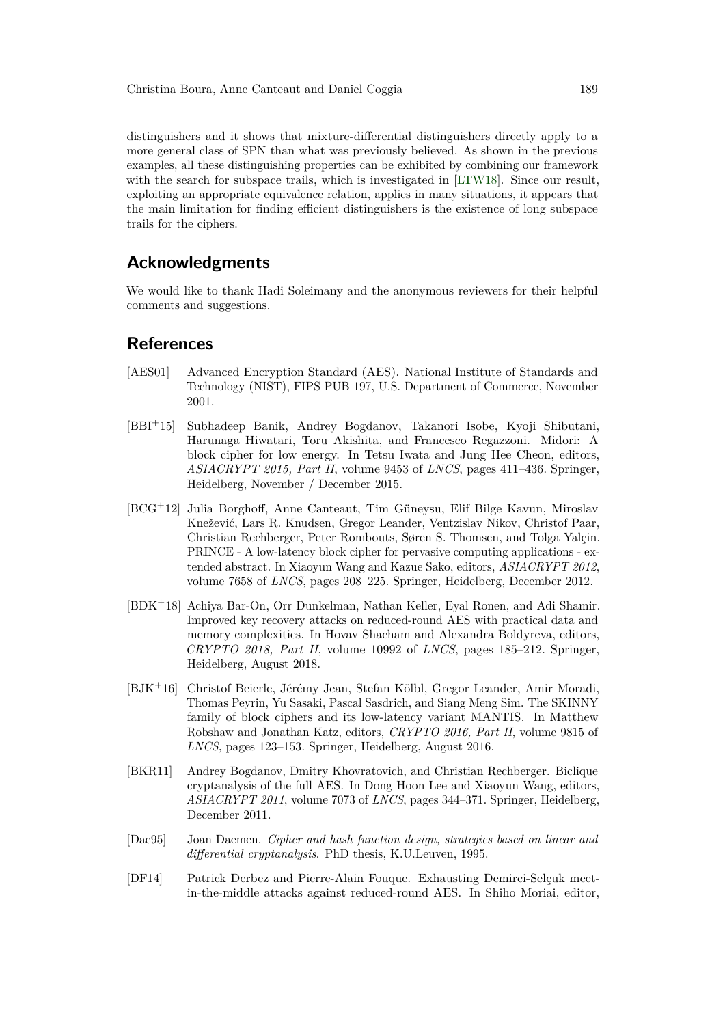distinguishers and it shows that mixture-differential distinguishers directly apply to a more general class of SPN than what was previously believed. As shown in the previous examples, all these distinguishing properties can be exhibited by combining our framework with the search for subspace trails, which is investigated in [\[LTW18\]](#page-20-10). Since our result, exploiting an appropriate equivalence relation, applies in many situations, it appears that the main limitation for finding efficient distinguishers is the existence of long subspace trails for the ciphers.

## **Acknowledgments**

We would like to thank Hadi Soleimany and the anonymous reviewers for their helpful comments and suggestions.

### **References**

- <span id="page-19-0"></span>[AES01] Advanced Encryption Standard (AES). National Institute of Standards and Technology (NIST), FIPS PUB 197, U.S. Department of Commerce, November 2001.
- <span id="page-19-4"></span>[BBI<sup>+</sup>15] Subhadeep Banik, Andrey Bogdanov, Takanori Isobe, Kyoji Shibutani, Harunaga Hiwatari, Toru Akishita, and Francesco Regazzoni. Midori: A block cipher for low energy. In Tetsu Iwata and Jung Hee Cheon, editors, *ASIACRYPT 2015, Part II*, volume 9453 of *LNCS*, pages 411–436. Springer, Heidelberg, November / December 2015.
- <span id="page-19-7"></span>[BCG<sup>+</sup>12] Julia Borghoff, Anne Canteaut, Tim Güneysu, Elif Bilge Kavun, Miroslav Knežević, Lars R. Knudsen, Gregor Leander, Ventzislav Nikov, Christof Paar, Christian Rechberger, Peter Rombouts, Søren S. Thomsen, and Tolga Yalçin. PRINCE - A low-latency block cipher for pervasive computing applications - extended abstract. In Xiaoyun Wang and Kazue Sako, editors, *ASIACRYPT 2012*, volume 7658 of *LNCS*, pages 208–225. Springer, Heidelberg, December 2012.
- <span id="page-19-2"></span>[BDK<sup>+</sup>18] Achiya Bar-On, Orr Dunkelman, Nathan Keller, Eyal Ronen, and Adi Shamir. Improved key recovery attacks on reduced-round AES with practical data and memory complexities. In Hovav Shacham and Alexandra Boldyreva, editors, *CRYPTO 2018, Part II*, volume 10992 of *LNCS*, pages 185–212. Springer, Heidelberg, August 2018.
- <span id="page-19-5"></span>[BJK<sup>+</sup>16] Christof Beierle, Jérémy Jean, Stefan Kölbl, Gregor Leander, Amir Moradi, Thomas Peyrin, Yu Sasaki, Pascal Sasdrich, and Siang Meng Sim. The SKINNY family of block ciphers and its low-latency variant MANTIS. In Matthew Robshaw and Jonathan Katz, editors, *CRYPTO 2016, Part II*, volume 9815 of *LNCS*, pages 123–153. Springer, Heidelberg, August 2016.
- <span id="page-19-3"></span>[BKR11] Andrey Bogdanov, Dmitry Khovratovich, and Christian Rechberger. Biclique cryptanalysis of the full AES. In Dong Hoon Lee and Xiaoyun Wang, editors, *ASIACRYPT 2011*, volume 7073 of *LNCS*, pages 344–371. Springer, Heidelberg, December 2011.
- <span id="page-19-6"></span>[Dae95] Joan Daemen. *Cipher and hash function design, strategies based on linear and differential cryptanalysis*. PhD thesis, K.U.Leuven, 1995.
- <span id="page-19-1"></span>[DF14] Patrick Derbez and Pierre-Alain Fouque. Exhausting Demirci-Selçuk meetin-the-middle attacks against reduced-round AES. In Shiho Moriai, editor,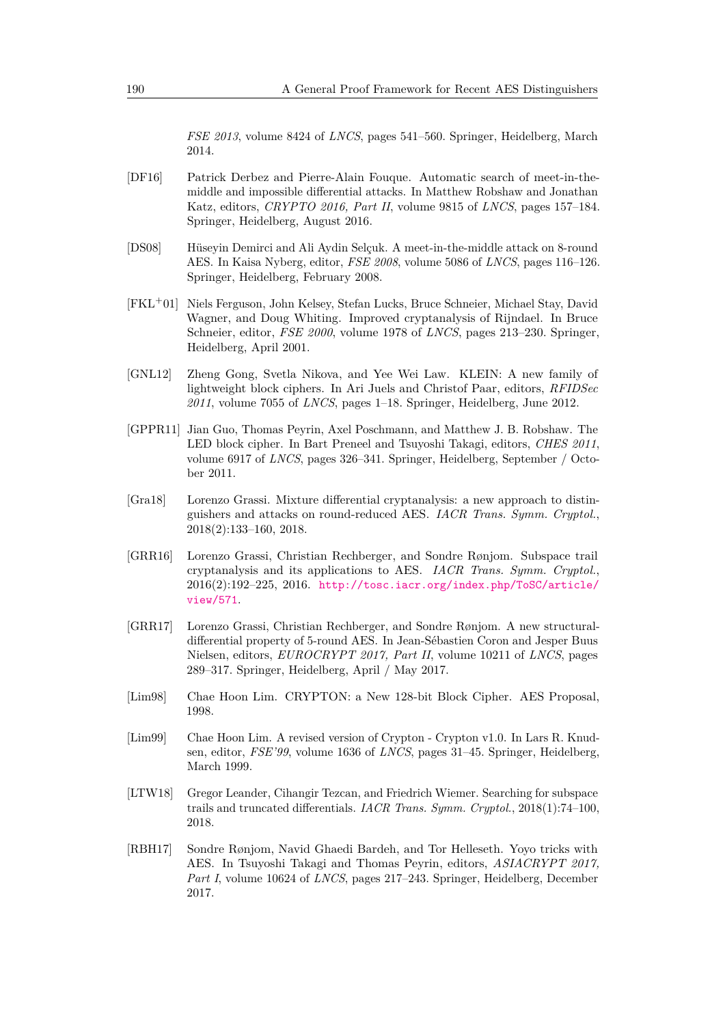*FSE 2013*, volume 8424 of *LNCS*, pages 541–560. Springer, Heidelberg, March 2014.

- <span id="page-20-2"></span>[DF16] Patrick Derbez and Pierre-Alain Fouque. Automatic search of meet-in-themiddle and impossible differential attacks. In Matthew Robshaw and Jonathan Katz, editors, *CRYPTO 2016, Part II*, volume 9815 of *LNCS*, pages 157–184. Springer, Heidelberg, August 2016.
- <span id="page-20-1"></span>[DS08] Hüseyin Demirci and Ali Aydin Selçuk. A meet-in-the-middle attack on 8-round AES. In Kaisa Nyberg, editor, *FSE 2008*, volume 5086 of *LNCS*, pages 116–126. Springer, Heidelberg, February 2008.
- <span id="page-20-0"></span>[FKL<sup>+</sup>01] Niels Ferguson, John Kelsey, Stefan Lucks, Bruce Schneier, Michael Stay, David Wagner, and Doug Whiting. Improved cryptanalysis of Rijndael. In Bruce Schneier, editor, *FSE 2000*, volume 1978 of *LNCS*, pages 213–230. Springer, Heidelberg, April 2001.
- <span id="page-20-6"></span>[GNL12] Zheng Gong, Svetla Nikova, and Yee Wei Law. KLEIN: A new family of lightweight block ciphers. In Ari Juels and Christof Paar, editors, *RFIDSec 2011*, volume 7055 of *LNCS*, pages 1–18. Springer, Heidelberg, June 2012.
- <span id="page-20-7"></span>[GPPR11] Jian Guo, Thomas Peyrin, Axel Poschmann, and Matthew J. B. Robshaw. The LED block cipher. In Bart Preneel and Tsuyoshi Takagi, editors, *CHES 2011*, volume 6917 of *LNCS*, pages 326–341. Springer, Heidelberg, September / October 2011.
- <span id="page-20-5"></span>[Gra18] Lorenzo Grassi. Mixture differential cryptanalysis: a new approach to distinguishers and attacks on round-reduced AES. *IACR Trans. Symm. Cryptol.*, 2018(2):133–160, 2018.
- <span id="page-20-8"></span>[GRR16] Lorenzo Grassi, Christian Rechberger, and Sondre Rønjom. Subspace trail cryptanalysis and its applications to AES. *IACR Trans. Symm. Cryptol.*, 2016(2):192–225, 2016. [http://tosc.iacr.org/index.php/ToSC/article/](http://tosc.iacr.org/index.php/ToSC/article/view/571) [view/571](http://tosc.iacr.org/index.php/ToSC/article/view/571).
- <span id="page-20-3"></span>[GRR17] Lorenzo Grassi, Christian Rechberger, and Sondre Rønjom. A new structuraldifferential property of 5-round AES. In Jean-Sébastien Coron and Jesper Buus Nielsen, editors, *EUROCRYPT 2017, Part II*, volume 10211 of *LNCS*, pages 289–317. Springer, Heidelberg, April / May 2017.
- <span id="page-20-11"></span>[Lim98] Chae Hoon Lim. CRYPTON: a New 128-bit Block Cipher. AES Proposal, 1998.
- <span id="page-20-9"></span>[Lim99] Chae Hoon Lim. A revised version of Crypton - Crypton v1.0. In Lars R. Knudsen, editor, *FSE'99*, volume 1636 of *LNCS*, pages 31–45. Springer, Heidelberg, March 1999.
- <span id="page-20-10"></span>[LTW18] Gregor Leander, Cihangir Tezcan, and Friedrich Wiemer. Searching for subspace trails and truncated differentials. *IACR Trans. Symm. Cryptol.*, 2018(1):74–100, 2018.
- <span id="page-20-4"></span>[RBH17] Sondre Rønjom, Navid Ghaedi Bardeh, and Tor Helleseth. Yoyo tricks with AES. In Tsuyoshi Takagi and Thomas Peyrin, editors, *ASIACRYPT 2017, Part I*, volume 10624 of *LNCS*, pages 217–243. Springer, Heidelberg, December 2017.